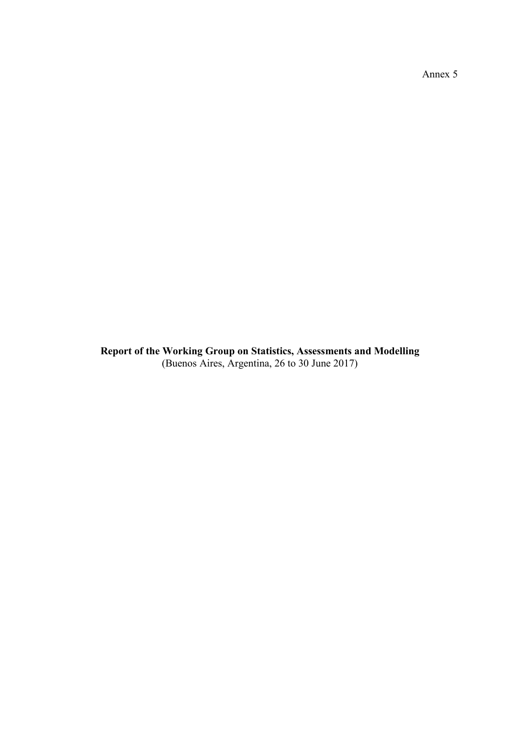Annex 5

**Report of the Working Group on Statistics, Assessments and Modelling** (Buenos Aires, Argentina, 26 to 30 June 2017)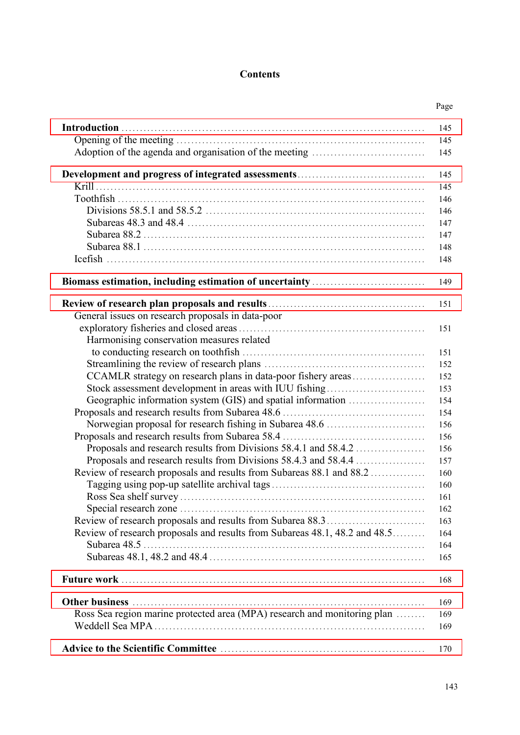# **Contents**

|                                                                            | Page |
|----------------------------------------------------------------------------|------|
|                                                                            | 145  |
|                                                                            | 145  |
|                                                                            | 145  |
|                                                                            | 145  |
|                                                                            | 145  |
|                                                                            | 146  |
|                                                                            | 146  |
|                                                                            | 147  |
|                                                                            | 147  |
|                                                                            | 148  |
|                                                                            | 148  |
|                                                                            | 149  |
|                                                                            |      |
|                                                                            | 151  |
| General issues on research proposals in data-poor                          |      |
|                                                                            | 151  |
| Harmonising conservation measures related                                  |      |
|                                                                            | 151  |
|                                                                            | 152  |
| CCAMLR strategy on research plans in data-poor fishery areas               | 152  |
| Stock assessment development in areas with IUU fishing                     | 153  |
| Geographic information system (GIS) and spatial information                | 154  |
|                                                                            | 154  |
| Norwegian proposal for research fishing in Subarea 48.6                    | 156  |
|                                                                            | 156  |
| Proposals and research results from Divisions 58.4.1 and 58.4.2            | 156  |
| Proposals and research results from Divisions 58.4.3 and 58.4.4            | 157  |
| Review of research proposals and results from Subareas 88.1 and 88.2       | 160  |
|                                                                            | 160  |
|                                                                            | 161  |
|                                                                            | 162  |
|                                                                            | 163  |
| Review of research proposals and results from Subareas 48.1, 48.2 and 48.5 | 164  |
|                                                                            | 164  |
|                                                                            | 165  |
|                                                                            | 168  |
|                                                                            | 169  |
| Ross Sea region marine protected area (MPA) research and monitoring plan   | 169  |
|                                                                            | 169  |
|                                                                            | 170  |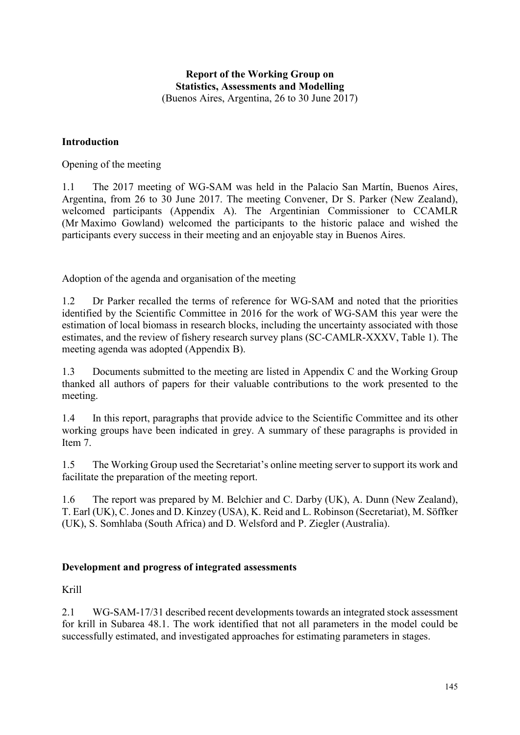# **Report of the Working Group on Statistics, Assessments and Modelling** (Buenos Aires, Argentina, 26 to 30 June 2017)

# <span id="page-4-0"></span>**Introduction**

Opening of the meeting

1.1 The 2017 meeting of WG-SAM was held in the Palacio San Martín, Buenos Aires, Argentina, from 26 to 30 June 2017. The meeting Convener, Dr S. Parker (New Zealand), welcomed participants (Appendix A). The Argentinian Commissioner to CCAMLR (Mr Maximo Gowland) welcomed the participants to the historic palace and wished the participants every success in their meeting and an enjoyable stay in Buenos Aires.

Adoption of the agenda and organisation of the meeting

1.2 Dr Parker recalled the terms of reference for WG-SAM and noted that the priorities identified by the Scientific Committee in 2016 for the work of WG-SAM this year were the estimation of local biomass in research blocks, including the uncertainty associated with those estimates, and the review of fishery research survey plans (SC-CAMLR-XXXV, Table 1). The meeting agenda was adopted (Appendix B).

1.3 Documents submitted to the meeting are listed in Appendix C and the Working Group thanked all authors of papers for their valuable contributions to the work presented to the meeting.

1.4 In this report, paragraphs that provide advice to the Scientific Committee and its other working groups have been indicated in grey. A summary of these paragraphs is provided in Item 7.

1.5 The Working Group used the Secretariat's online meeting server to support its work and facilitate the preparation of the meeting report.

1.6 The report was prepared by M. Belchier and C. Darby (UK), A. Dunn (New Zealand), T. Earl (UK), C. Jones and D. Kinzey (USA), K. Reid and L. Robinson (Secretariat), M. Söffker (UK), S. Somhlaba (South Africa) and D. Welsford and P. Ziegler (Australia).

# **Development and progress of integrated assessments**

Krill

2.1 WG-SAM-17/31 described recent developments towards an integrated stock assessment for krill in Subarea 48.1. The work identified that not all parameters in the model could be successfully estimated, and investigated approaches for estimating parameters in stages.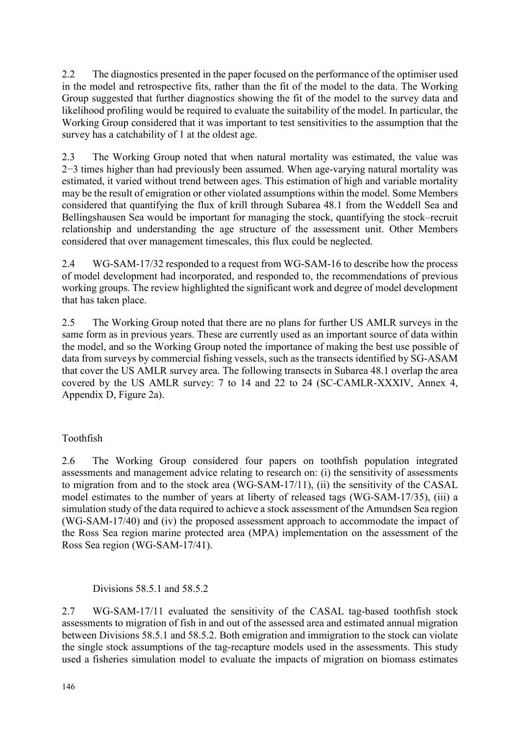2.2 The diagnostics presented in the paper focused on the performance of the optimiser used in the model and retrospective fits, rather than the fit of the model to the data. The Working Group suggested that further diagnostics showing the fit of the model to the survey data and likelihood profiling would be required to evaluate the suitability of the model. In particular, the Working Group considered that it was important to test sensitivities to the assumption that the survey has a catchability of 1 at the oldest age.

2.3 The Working Group noted that when natural mortality was estimated, the value was 2−3 times higher than had previously been assumed. When age-varying natural mortality was estimated, it varied without trend between ages. This estimation of high and variable mortality may be the result of emigration or other violated assumptions within the model. Some Members considered that quantifying the flux of krill through Subarea 48.1 from the Weddell Sea and Bellingshausen Sea would be important for managing the stock, quantifying the stock–recruit relationship and understanding the age structure of the assessment unit. Other Members considered that over management timescales, this flux could be neglected.

2.4 WG-SAM-17/32 responded to a request from WG-SAM-16 to describe how the process of model development had incorporated, and responded to, the recommendations of previous working groups. The review highlighted the significant work and degree of model development that has taken place.

2.5 The Working Group noted that there are no plans for further US AMLR surveys in the same form as in previous years. These are currently used as an important source of data within the model, and so the Working Group noted the importance of making the best use possible of data from surveys by commercial fishing vessels, such as the transects identified by SG-ASAM that cover the US AMLR survey area. The following transects in Subarea 48.1 overlap the area covered by the US AMLR survey: 7 to 14 and 22 to 24 (SC-CAMLR-XXXIV, Annex 4, Appendix D, Figure 2a).

# Toothfish

2.6 The Working Group considered four papers on toothfish population integrated assessments and management advice relating to research on: (i) the sensitivity of assessments to migration from and to the stock area (WG-SAM-17/11), (ii) the sensitivity of the CASAL model estimates to the number of years at liberty of released tags (WG-SAM-17/35), (iii) a simulation study of the data required to achieve a stock assessment of the Amundsen Sea region (WG-SAM-17/40) and (iv) the proposed assessment approach to accommodate the impact of the Ross Sea region marine protected area (MPA) implementation on the assessment of the Ross Sea region (WG-SAM-17/41).

Divisions 58.5.1 and 58.5.2

2.7 WG-SAM-17/11 evaluated the sensitivity of the CASAL tag-based toothfish stock assessments to migration of fish in and out of the assessed area and estimated annual migration between Divisions 58.5.1 and 58.5.2. Both emigration and immigration to the stock can violate the single stock assumptions of the tag-recapture models used in the assessments. This study used a fisheries simulation model to evaluate the impacts of migration on biomass estimates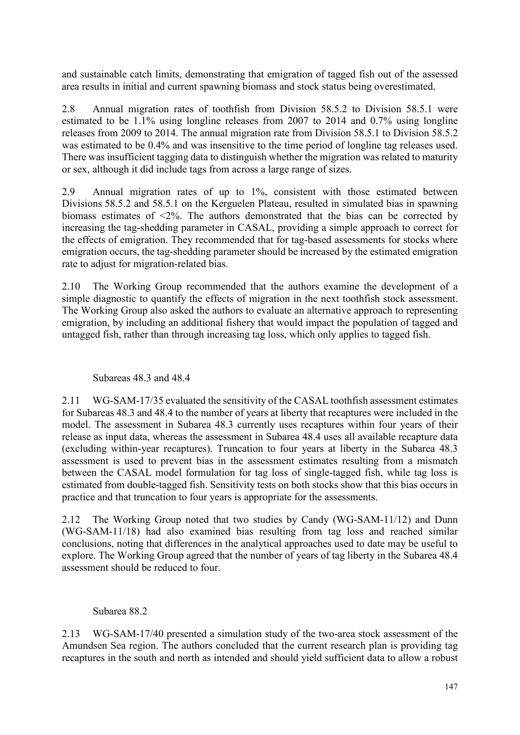and sustainable catch limits, demonstrating that emigration of tagged fish out of the assessed area results in initial and current spawning biomass and stock status being overestimated.

2.8 Annual migration rates of toothfish from Division 58.5.2 to Division 58.5.1 were estimated to be 1.1% using longline releases from 2007 to 2014 and 0.7% using longline releases from 2009 to 2014. The annual migration rate from Division 58.5.1 to Division 58.5.2 was estimated to be 0.4% and was insensitive to the time period of longline tag releases used. There was insufficient tagging data to distinguish whether the migration was related to maturity or sex, although it did include tags from across a large range of sizes.

2.9 Annual migration rates of up to 1%, consistent with those estimated between Divisions 58.5.2 and 58.5.1 on the Kerguelen Plateau, resulted in simulated bias in spawning biomass estimates of <2%. The authors demonstrated that the bias can be corrected by increasing the tag-shedding parameter in CASAL, providing a simple approach to correct for the effects of emigration. They recommended that for tag-based assessments for stocks where emigration occurs, the tag-shedding parameter should be increased by the estimated emigration rate to adjust for migration-related bias.

2.10 The Working Group recommended that the authors examine the development of a simple diagnostic to quantify the effects of migration in the next toothfish stock assessment. The Working Group also asked the authors to evaluate an alternative approach to representing emigration, by including an additional fishery that would impact the population of tagged and untagged fish, rather than through increasing tag loss, which only applies to tagged fish.

#### Subareas 48.3 and 48.4

2.11 WG-SAM-17/35 evaluated the sensitivity of the CASAL toothfish assessment estimates for Subareas 48.3 and 48.4 to the number of years at liberty that recaptures were included in the model. The assessment in Subarea 48.3 currently uses recaptures within four years of their release as input data, whereas the assessment in Subarea 48.4 uses all available recapture data (excluding within-year recaptures). Truncation to four years at liberty in the Subarea 48.3 assessment is used to prevent bias in the assessment estimates resulting from a mismatch between the CASAL model formulation for tag loss of single-tagged fish, while tag loss is estimated from double-tagged fish. Sensitivity tests on both stocks show that this bias occurs in practice and that truncation to four years is appropriate for the assessments.

2.12 The Working Group noted that two studies by Candy (WG-SAM-11/12) and Dunn (WG-SAM-11/18) had also examined bias resulting from tag loss and reached similar conclusions, noting that differences in the analytical approaches used to date may be useful to explore. The Working Group agreed that the number of years of tag liberty in the Subarea 48.4 assessment should be reduced to four.

#### Subarea 88.2

2.13 WG-SAM-17/40 presented a simulation study of the two-area stock assessment of the Amundsen Sea region. The authors concluded that the current research plan is providing tag recaptures in the south and north as intended and should yield sufficient data to allow a robust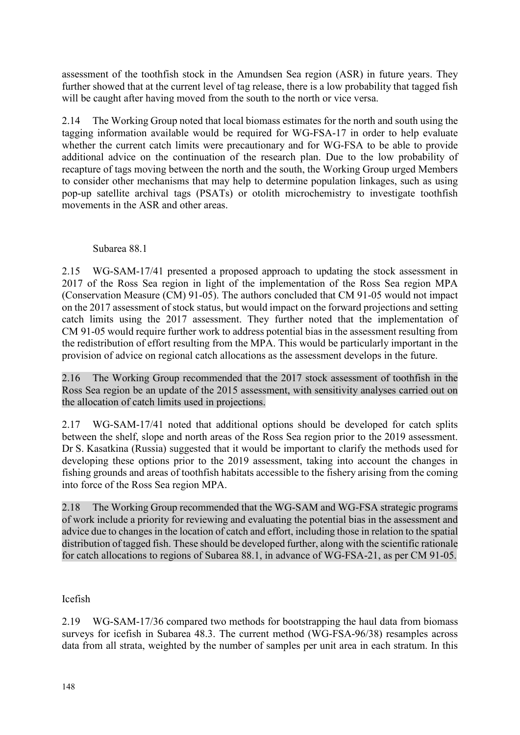assessment of the toothfish stock in the Amundsen Sea region (ASR) in future years. They further showed that at the current level of tag release, there is a low probability that tagged fish will be caught after having moved from the south to the north or vice versa.

2.14 The Working Group noted that local biomass estimates for the north and south using the tagging information available would be required for WG-FSA-17 in order to help evaluate whether the current catch limits were precautionary and for WG-FSA to be able to provide additional advice on the continuation of the research plan. Due to the low probability of recapture of tags moving between the north and the south, the Working Group urged Members to consider other mechanisms that may help to determine population linkages, such as using pop-up satellite archival tags (PSATs) or otolith microchemistry to investigate toothfish movements in the ASR and other areas.

## Subarea 88.1

2.15 WG-SAM-17/41 presented a proposed approach to updating the stock assessment in 2017 of the Ross Sea region in light of the implementation of the Ross Sea region MPA (Conservation Measure (CM) 91-05). The authors concluded that CM 91-05 would not impact on the 2017 assessment of stock status, but would impact on the forward projections and setting catch limits using the 2017 assessment. They further noted that the implementation of CM 91-05 would require further work to address potential bias in the assessment resulting from the redistribution of effort resulting from the MPA. This would be particularly important in the provision of advice on regional catch allocations as the assessment develops in the future.

2.16 The Working Group recommended that the 2017 stock assessment of toothfish in the Ross Sea region be an update of the 2015 assessment, with sensitivity analyses carried out on the allocation of catch limits used in projections.

2.17 WG-SAM-17/41 noted that additional options should be developed for catch splits between the shelf, slope and north areas of the Ross Sea region prior to the 2019 assessment. Dr S. Kasatkina (Russia) suggested that it would be important to clarify the methods used for developing these options prior to the 2019 assessment, taking into account the changes in fishing grounds and areas of toothfish habitats accessible to the fishery arising from the coming into force of the Ross Sea region MPA.

2.18 The Working Group recommended that the WG-SAM and WG-FSA strategic programs of work include a priority for reviewing and evaluating the potential bias in the assessment and advice due to changes in the location of catch and effort, including those in relation to the spatial distribution of tagged fish. These should be developed further, along with the scientific rationale for catch allocations to regions of Subarea 88.1, in advance of WG-FSA-21, as per CM 91-05.

# Icefish

2.19 WG-SAM-17/36 compared two methods for bootstrapping the haul data from biomass surveys for icefish in Subarea 48.3. The current method (WG-FSA-96/38) resamples across data from all strata, weighted by the number of samples per unit area in each stratum. In this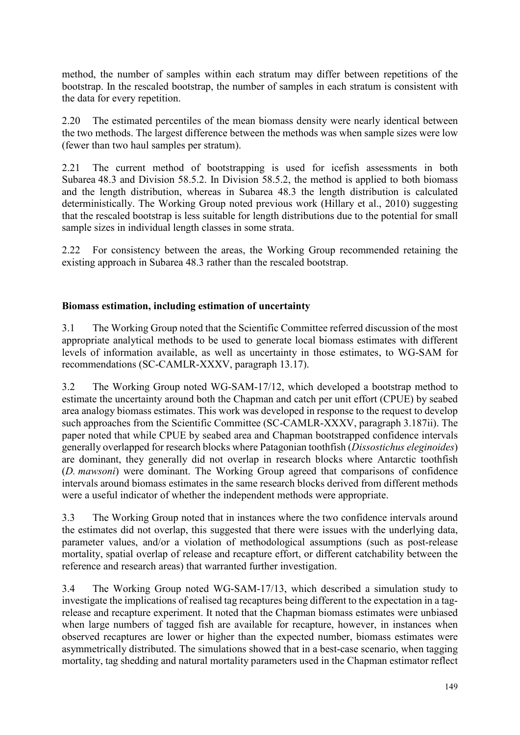<span id="page-8-0"></span>method, the number of samples within each stratum may differ between repetitions of the bootstrap. In the rescaled bootstrap, the number of samples in each stratum is consistent with the data for every repetition.

2.20 The estimated percentiles of the mean biomass density were nearly identical between the two methods. The largest difference between the methods was when sample sizes were low (fewer than two haul samples per stratum).

2.21 The current method of bootstrapping is used for icefish assessments in both Subarea 48.3 and Division 58.5.2. In Division 58.5.2, the method is applied to both biomass and the length distribution, whereas in Subarea 48.3 the length distribution is calculated deterministically. The Working Group noted previous work (Hillary et al., 2010) suggesting that the rescaled bootstrap is less suitable for length distributions due to the potential for small sample sizes in individual length classes in some strata.

2.22 For consistency between the areas, the Working Group recommended retaining the existing approach in Subarea 48.3 rather than the rescaled bootstrap.

# **Biomass estimation, including estimation of uncertainty**

3.1 The Working Group noted that the Scientific Committee referred discussion of the most appropriate analytical methods to be used to generate local biomass estimates with different levels of information available, as well as uncertainty in those estimates, to WG-SAM for recommendations (SC-CAMLR-XXXV, paragraph 13.17).

3.2 The Working Group noted WG-SAM-17/12, which developed a bootstrap method to estimate the uncertainty around both the Chapman and catch per unit effort (CPUE) by seabed area analogy biomass estimates. This work was developed in response to the request to develop such approaches from the Scientific Committee (SC-CAMLR-XXXV, paragraph 3.187ii). The paper noted that while CPUE by seabed area and Chapman bootstrapped confidence intervals generally overlapped for research blocks where Patagonian toothfish (*Dissostichus eleginoides*) are dominant, they generally did not overlap in research blocks where Antarctic toothfish (*D. mawsoni*) were dominant. The Working Group agreed that comparisons of confidence intervals around biomass estimates in the same research blocks derived from different methods were a useful indicator of whether the independent methods were appropriate.

3.3 The Working Group noted that in instances where the two confidence intervals around the estimates did not overlap, this suggested that there were issues with the underlying data, parameter values, and/or a violation of methodological assumptions (such as post-release mortality, spatial overlap of release and recapture effort, or different catchability between the reference and research areas) that warranted further investigation.

3.4 The Working Group noted WG-SAM-17/13, which described a simulation study to investigate the implications of realised tag recaptures being different to the expectation in a tagrelease and recapture experiment. It noted that the Chapman biomass estimates were unbiased when large numbers of tagged fish are available for recapture, however, in instances when observed recaptures are lower or higher than the expected number, biomass estimates were asymmetrically distributed. The simulations showed that in a best-case scenario, when tagging mortality, tag shedding and natural mortality parameters used in the Chapman estimator reflect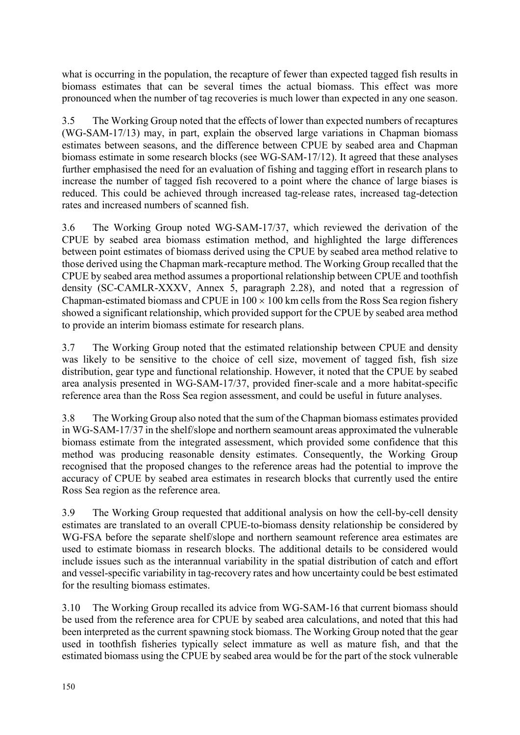what is occurring in the population, the recapture of fewer than expected tagged fish results in biomass estimates that can be several times the actual biomass. This effect was more pronounced when the number of tag recoveries is much lower than expected in any one season.

3.5 The Working Group noted that the effects of lower than expected numbers of recaptures (WG-SAM-17/13) may, in part, explain the observed large variations in Chapman biomass estimates between seasons, and the difference between CPUE by seabed area and Chapman biomass estimate in some research blocks (see WG-SAM-17/12). It agreed that these analyses further emphasised the need for an evaluation of fishing and tagging effort in research plans to increase the number of tagged fish recovered to a point where the chance of large biases is reduced. This could be achieved through increased tag-release rates, increased tag-detection rates and increased numbers of scanned fish.

3.6 The Working Group noted WG-SAM-17/37, which reviewed the derivation of the CPUE by seabed area biomass estimation method, and highlighted the large differences between point estimates of biomass derived using the CPUE by seabed area method relative to those derived using the Chapman mark-recapture method. The Working Group recalled that the CPUE by seabed area method assumes a proportional relationship between CPUE and toothfish density (SC-CAMLR-XXXV, Annex 5, paragraph 2.28), and noted that a regression of Chapman-estimated biomass and CPUE in  $100 \times 100$  km cells from the Ross Sea region fishery showed a significant relationship, which provided support for the CPUE by seabed area method to provide an interim biomass estimate for research plans.

3.7 The Working Group noted that the estimated relationship between CPUE and density was likely to be sensitive to the choice of cell size, movement of tagged fish, fish size distribution, gear type and functional relationship. However, it noted that the CPUE by seabed area analysis presented in WG-SAM-17/37, provided finer-scale and a more habitat-specific reference area than the Ross Sea region assessment, and could be useful in future analyses.

3.8 The Working Group also noted that the sum of the Chapman biomass estimates provided in WG-SAM-17/37 in the shelf/slope and northern seamount areas approximated the vulnerable biomass estimate from the integrated assessment, which provided some confidence that this method was producing reasonable density estimates. Consequently, the Working Group recognised that the proposed changes to the reference areas had the potential to improve the accuracy of CPUE by seabed area estimates in research blocks that currently used the entire Ross Sea region as the reference area.

3.9 The Working Group requested that additional analysis on how the cell-by-cell density estimates are translated to an overall CPUE-to-biomass density relationship be considered by WG-FSA before the separate shelf/slope and northern seamount reference area estimates are used to estimate biomass in research blocks. The additional details to be considered would include issues such as the interannual variability in the spatial distribution of catch and effort and vessel-specific variability in tag-recovery rates and how uncertainty could be best estimated for the resulting biomass estimates.

3.10 The Working Group recalled its advice from WG-SAM-16 that current biomass should be used from the reference area for CPUE by seabed area calculations, and noted that this had been interpreted as the current spawning stock biomass. The Working Group noted that the gear used in toothfish fisheries typically select immature as well as mature fish, and that the estimated biomass using the CPUE by seabed area would be for the part of the stock vulnerable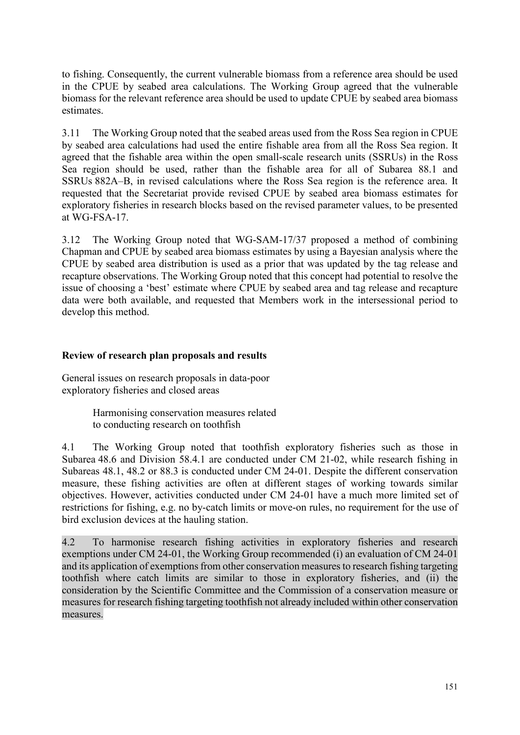<span id="page-10-0"></span>to fishing. Consequently, the current vulnerable biomass from a reference area should be used in the CPUE by seabed area calculations. The Working Group agreed that the vulnerable biomass for the relevant reference area should be used to update CPUE by seabed area biomass estimates.

3.11 The Working Group noted that the seabed areas used from the Ross Sea region in CPUE by seabed area calculations had used the entire fishable area from all the Ross Sea region. It agreed that the fishable area within the open small-scale research units (SSRUs) in the Ross Sea region should be used, rather than the fishable area for all of Subarea 88.1 and SSRUs 882A–B, in revised calculations where the Ross Sea region is the reference area. It requested that the Secretariat provide revised CPUE by seabed area biomass estimates for exploratory fisheries in research blocks based on the revised parameter values, to be presented at WG-FSA-17.

3.12 The Working Group noted that WG-SAM-17/37 proposed a method of combining Chapman and CPUE by seabed area biomass estimates by using a Bayesian analysis where the CPUE by seabed area distribution is used as a prior that was updated by the tag release and recapture observations. The Working Group noted that this concept had potential to resolve the issue of choosing a 'best' estimate where CPUE by seabed area and tag release and recapture data were both available, and requested that Members work in the intersessional period to develop this method.

# **Review of research plan proposals and results**

General issues on research proposals in data-poor exploratory fisheries and closed areas

> Harmonising conservation measures related to conducting research on toothfish

4.1 The Working Group noted that toothfish exploratory fisheries such as those in Subarea 48.6 and Division 58.4.1 are conducted under CM 21-02, while research fishing in Subareas 48.1, 48.2 or 88.3 is conducted under CM 24-01. Despite the different conservation measure, these fishing activities are often at different stages of working towards similar objectives. However, activities conducted under CM 24-01 have a much more limited set of restrictions for fishing, e.g. no by-catch limits or move-on rules, no requirement for the use of bird exclusion devices at the hauling station.

4.2 To harmonise research fishing activities in exploratory fisheries and research exemptions under CM 24-01, the Working Group recommended (i) an evaluation of CM 24-01 and its application of exemptions from other conservation measures to research fishing targeting toothfish where catch limits are similar to those in exploratory fisheries, and (ii) the consideration by the Scientific Committee and the Commission of a conservation measure or measures for research fishing targeting toothfish not already included within other conservation measures.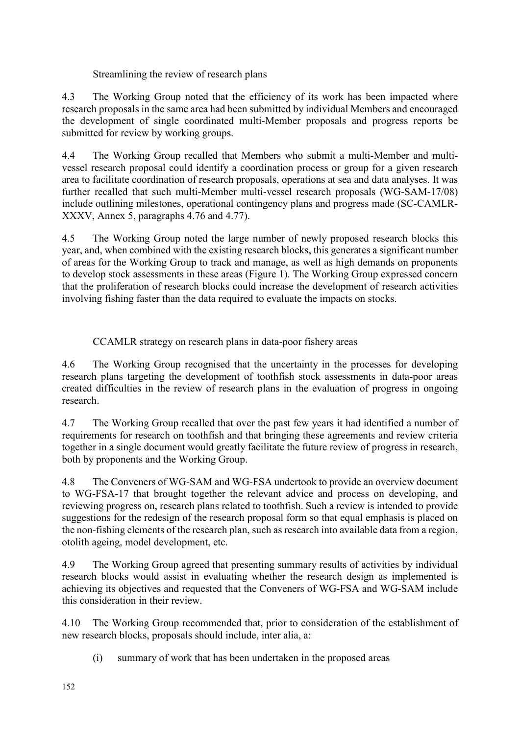Streamlining the review of research plans

4.3 The Working Group noted that the efficiency of its work has been impacted where research proposals in the same area had been submitted by individual Members and encouraged the development of single coordinated multi-Member proposals and progress reports be submitted for review by working groups.

4.4 The Working Group recalled that Members who submit a multi-Member and multivessel research proposal could identify a coordination process or group for a given research area to facilitate coordination of research proposals, operations at sea and data analyses. It was further recalled that such multi-Member multi-vessel research proposals (WG-SAM-17/08) include outlining milestones, operational contingency plans and progress made (SC-CAMLR-XXXV, Annex 5, paragraphs 4.76 and 4.77).

4.5 The Working Group noted the large number of newly proposed research blocks this year, and, when combined with the existing research blocks, this generates a significant number of areas for the Working Group to track and manage, as well as high demands on proponents to develop stock assessments in these areas (Figure 1). The Working Group expressed concern that the proliferation of research blocks could increase the development of research activities involving fishing faster than the data required to evaluate the impacts on stocks.

CCAMLR strategy on research plans in data-poor fishery areas

4.6 The Working Group recognised that the uncertainty in the processes for developing research plans targeting the development of toothfish stock assessments in data-poor areas created difficulties in the review of research plans in the evaluation of progress in ongoing research.

4.7 The Working Group recalled that over the past few years it had identified a number of requirements for research on toothfish and that bringing these agreements and review criteria together in a single document would greatly facilitate the future review of progress in research, both by proponents and the Working Group.

4.8 The Conveners of WG-SAM and WG-FSA undertook to provide an overview document to WG-FSA-17 that brought together the relevant advice and process on developing, and reviewing progress on, research plans related to toothfish. Such a review is intended to provide suggestions for the redesign of the research proposal form so that equal emphasis is placed on the non-fishing elements of the research plan, such as research into available data from a region, otolith ageing, model development, etc.

4.9 The Working Group agreed that presenting summary results of activities by individual research blocks would assist in evaluating whether the research design as implemented is achieving its objectives and requested that the Conveners of WG-FSA and WG-SAM include this consideration in their review.

4.10 The Working Group recommended that, prior to consideration of the establishment of new research blocks, proposals should include, inter alia, a:

(i) summary of work that has been undertaken in the proposed areas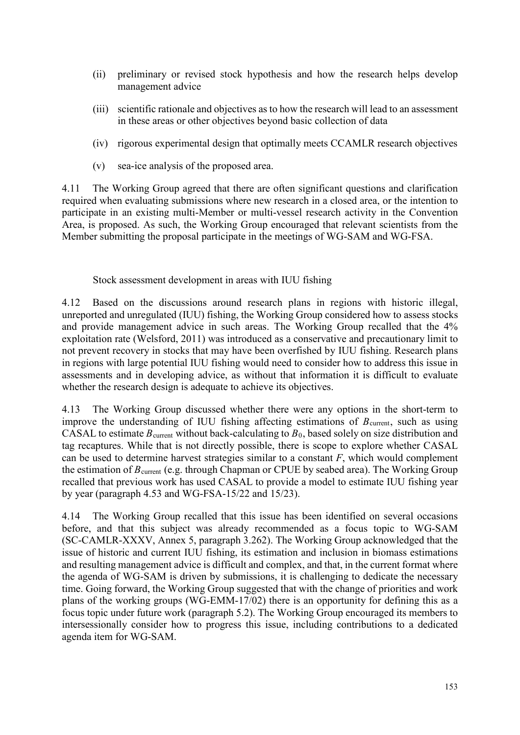- (ii) preliminary or revised stock hypothesis and how the research helps develop management advice
- (iii) scientific rationale and objectives as to how the research will lead to an assessment in these areas or other objectives beyond basic collection of data
- (iv) rigorous experimental design that optimally meets CCAMLR research objectives
- (v) sea-ice analysis of the proposed area.

4.11 The Working Group agreed that there are often significant questions and clarification required when evaluating submissions where new research in a closed area, or the intention to participate in an existing multi-Member or multi-vessel research activity in the Convention Area, is proposed. As such, the Working Group encouraged that relevant scientists from the Member submitting the proposal participate in the meetings of WG-SAM and WG-FSA.

Stock assessment development in areas with IUU fishing

4.12 Based on the discussions around research plans in regions with historic illegal, unreported and unregulated (IUU) fishing, the Working Group considered how to assess stocks and provide management advice in such areas. The Working Group recalled that the 4% exploitation rate (Welsford, 2011) was introduced as a conservative and precautionary limit to not prevent recovery in stocks that may have been overfished by IUU fishing. Research plans in regions with large potential IUU fishing would need to consider how to address this issue in assessments and in developing advice, as without that information it is difficult to evaluate whether the research design is adequate to achieve its objectives.

4.13 The Working Group discussed whether there were any options in the short-term to improve the understanding of IUU fishing affecting estimations of  $B_{\text{current}}$ , such as using CASAL to estimate  $B_{\text{current}}$  without back-calculating to  $B_0$ , based solely on size distribution and tag recaptures. While that is not directly possible, there is scope to explore whether CASAL can be used to determine harvest strategies similar to a constant *F*, which would complement the estimation of *B*<sub>current</sub> (e.g. through Chapman or CPUE by seabed area). The Working Group recalled that previous work has used CASAL to provide a model to estimate IUU fishing year by year (paragraph 4.53 and WG-FSA-15/22 and 15/23).

4.14 The Working Group recalled that this issue has been identified on several occasions before, and that this subject was already recommended as a focus topic to WG-SAM (SC-CAMLR-XXXV, Annex 5, paragraph 3.262). The Working Group acknowledged that the issue of historic and current IUU fishing, its estimation and inclusion in biomass estimations and resulting management advice is difficult and complex, and that, in the current format where the agenda of WG-SAM is driven by submissions, it is challenging to dedicate the necessary time. Going forward, the Working Group suggested that with the change of priorities and work plans of the working groups (WG-EMM-17/02) there is an opportunity for defining this as a focus topic under future work (paragraph 5.2). The Working Group encouraged its members to intersessionally consider how to progress this issue, including contributions to a dedicated agenda item for WG-SAM.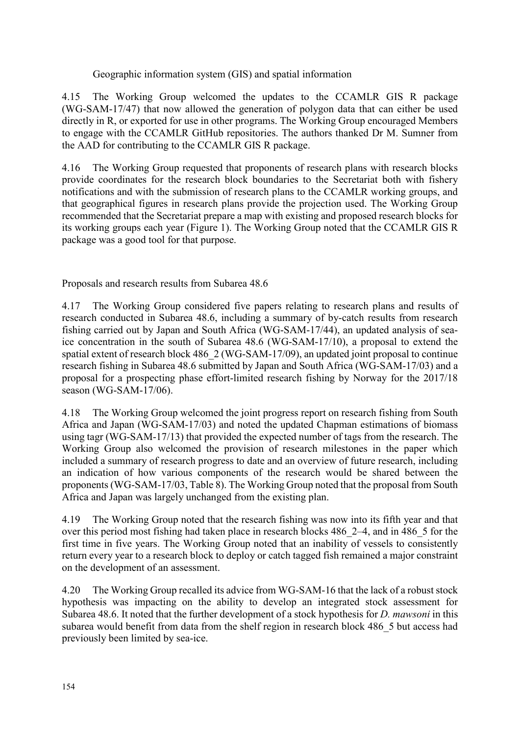Geographic information system (GIS) and spatial information

4.15 The Working Group welcomed the updates to the CCAMLR GIS R package (WG-SAM-17/47) that now allowed the generation of polygon data that can either be used directly in R, or exported for use in other programs. The Working Group encouraged Members to engage with the CCAMLR GitHub repositories. The authors thanked Dr M. Sumner from the AAD for contributing to the CCAMLR GIS R package.

4.16 The Working Group requested that proponents of research plans with research blocks provide coordinates for the research block boundaries to the Secretariat both with fishery notifications and with the submission of research plans to the CCAMLR working groups, and that geographical figures in research plans provide the projection used. The Working Group recommended that the Secretariat prepare a map with existing and proposed research blocks for its working groups each year (Figure 1). The Working Group noted that the CCAMLR GIS R package was a good tool for that purpose.

Proposals and research results from Subarea 48.6

4.17 The Working Group considered five papers relating to research plans and results of research conducted in Subarea 48.6, including a summary of by-catch results from research fishing carried out by Japan and South Africa (WG-SAM-17/44), an updated analysis of seaice concentration in the south of Subarea 48.6 (WG-SAM-17/10), a proposal to extend the spatial extent of research block 486 2 (WG-SAM-17/09), an updated joint proposal to continue research fishing in Subarea 48.6 submitted by Japan and South Africa (WG-SAM-17/03) and a proposal for a prospecting phase effort-limited research fishing by Norway for the 2017/18 season (WG-SAM-17/06).

4.18 The Working Group welcomed the joint progress report on research fishing from South Africa and Japan (WG-SAM-17/03) and noted the updated Chapman estimations of biomass using tagr (WG-SAM-17/13) that provided the expected number of tags from the research. The Working Group also welcomed the provision of research milestones in the paper which included a summary of research progress to date and an overview of future research, including an indication of how various components of the research would be shared between the proponents (WG-SAM-17/03, Table 8). The Working Group noted that the proposal from South Africa and Japan was largely unchanged from the existing plan.

4.19 The Working Group noted that the research fishing was now into its fifth year and that over this period most fishing had taken place in research blocks 486\_2–4, and in 486\_5 for the first time in five years. The Working Group noted that an inability of vessels to consistently return every year to a research block to deploy or catch tagged fish remained a major constraint on the development of an assessment.

4.20 The Working Group recalled its advice from WG-SAM-16 that the lack of a robust stock hypothesis was impacting on the ability to develop an integrated stock assessment for Subarea 48.6. It noted that the further development of a stock hypothesis for *D. mawsoni* in this subarea would benefit from data from the shelf region in research block 486 5 but access had previously been limited by sea-ice.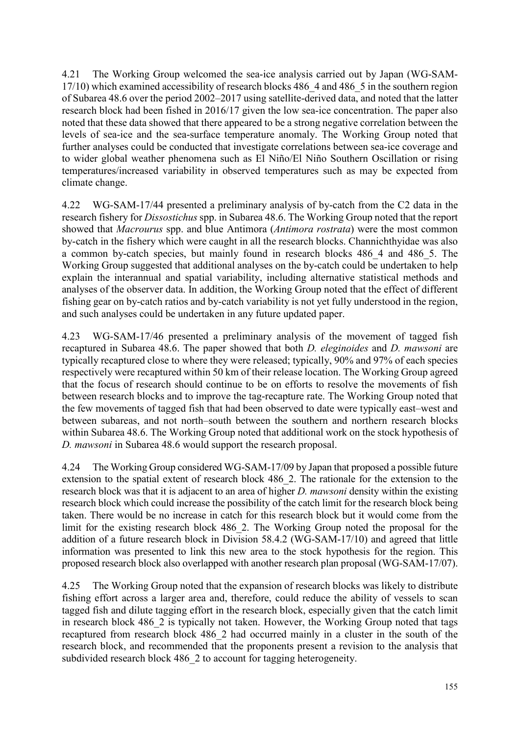4.21 The Working Group welcomed the sea-ice analysis carried out by Japan (WG-SAM-17/10) which examined accessibility of research blocks 486\_4 and 486\_5 in the southern region of Subarea 48.6 over the period 2002–2017 using satellite-derived data, and noted that the latter research block had been fished in 2016/17 given the low sea-ice concentration. The paper also noted that these data showed that there appeared to be a strong negative correlation between the levels of sea-ice and the sea-surface temperature anomaly. The Working Group noted that further analyses could be conducted that investigate correlations between sea-ice coverage and to wider global weather phenomena such as El Niño/El Niño Southern Oscillation or rising temperatures/increased variability in observed temperatures such as may be expected from climate change.

4.22 WG-SAM-17/44 presented a preliminary analysis of by-catch from the C2 data in the research fishery for *Dissostichus* spp. in Subarea 48.6. The Working Group noted that the report showed that *Macrourus* spp. and blue Antimora (*Antimora rostrata*) were the most common by-catch in the fishery which were caught in all the research blocks. Channichthyidae was also a common by-catch species, but mainly found in research blocks 486\_4 and 486\_5. The Working Group suggested that additional analyses on the by-catch could be undertaken to help explain the interannual and spatial variability, including alternative statistical methods and analyses of the observer data. In addition, the Working Group noted that the effect of different fishing gear on by-catch ratios and by-catch variability is not yet fully understood in the region, and such analyses could be undertaken in any future updated paper.

4.23 WG-SAM-17/46 presented a preliminary analysis of the movement of tagged fish recaptured in Subarea 48.6. The paper showed that both *D. eleginoides* and *D. mawsoni* are typically recaptured close to where they were released; typically, 90% and 97% of each species respectively were recaptured within 50 km of their release location. The Working Group agreed that the focus of research should continue to be on efforts to resolve the movements of fish between research blocks and to improve the tag-recapture rate. The Working Group noted that the few movements of tagged fish that had been observed to date were typically east–west and between subareas, and not north–south between the southern and northern research blocks within Subarea 48.6. The Working Group noted that additional work on the stock hypothesis of *D. mawsoni* in Subarea 48.6 would support the research proposal.

4.24 The Working Group considered WG-SAM-17/09 by Japan that proposed a possible future extension to the spatial extent of research block 486\_2. The rationale for the extension to the research block was that it is adjacent to an area of higher *D. mawsoni* density within the existing research block which could increase the possibility of the catch limit for the research block being taken. There would be no increase in catch for this research block but it would come from the limit for the existing research block 486\_2. The Working Group noted the proposal for the addition of a future research block in Division 58.4.2 (WG-SAM-17/10) and agreed that little information was presented to link this new area to the stock hypothesis for the region. This proposed research block also overlapped with another research plan proposal (WG-SAM-17/07).

4.25 The Working Group noted that the expansion of research blocks was likely to distribute fishing effort across a larger area and, therefore, could reduce the ability of vessels to scan tagged fish and dilute tagging effort in the research block, especially given that the catch limit in research block 486\_2 is typically not taken. However, the Working Group noted that tags recaptured from research block 486\_2 had occurred mainly in a cluster in the south of the research block, and recommended that the proponents present a revision to the analysis that subdivided research block 486 2 to account for tagging heterogeneity.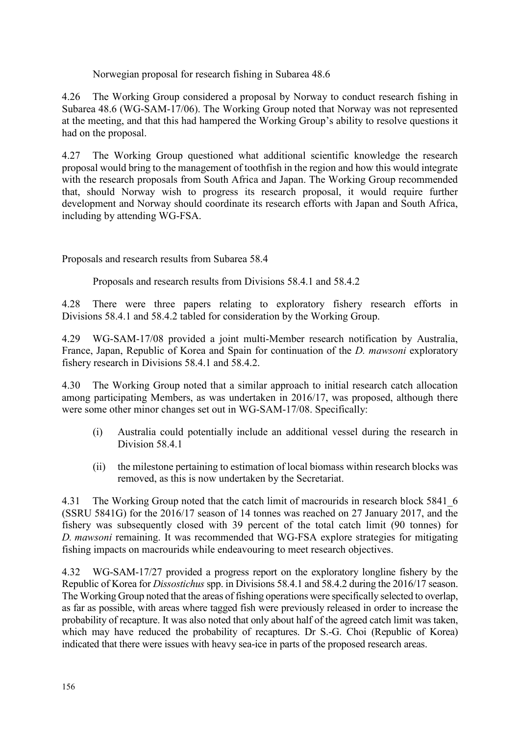Norwegian proposal for research fishing in Subarea 48.6

4.26 The Working Group considered a proposal by Norway to conduct research fishing in Subarea 48.6 (WG-SAM-17/06). The Working Group noted that Norway was not represented at the meeting, and that this had hampered the Working Group's ability to resolve questions it had on the proposal.

4.27 The Working Group questioned what additional scientific knowledge the research proposal would bring to the management of toothfish in the region and how this would integrate with the research proposals from South Africa and Japan. The Working Group recommended that, should Norway wish to progress its research proposal, it would require further development and Norway should coordinate its research efforts with Japan and South Africa, including by attending WG-FSA.

Proposals and research results from Subarea 58.4

Proposals and research results from Divisions 58.4.1 and 58.4.2

4.28 There were three papers relating to exploratory fishery research efforts in Divisions 58.4.1 and 58.4.2 tabled for consideration by the Working Group.

4.29 WG-SAM-17/08 provided a joint multi-Member research notification by Australia, France, Japan, Republic of Korea and Spain for continuation of the *D. mawsoni* exploratory fishery research in Divisions 58.4.1 and 58.4.2.

4.30 The Working Group noted that a similar approach to initial research catch allocation among participating Members, as was undertaken in 2016/17, was proposed, although there were some other minor changes set out in WG-SAM-17/08. Specifically:

- (i) Australia could potentially include an additional vessel during the research in Division 58.4.1
- (ii) the milestone pertaining to estimation of local biomass within research blocks was removed, as this is now undertaken by the Secretariat.

4.31 The Working Group noted that the catch limit of macrourids in research block 5841 6 (SSRU 5841G) for the 2016/17 season of 14 tonnes was reached on 27 January 2017, and the fishery was subsequently closed with 39 percent of the total catch limit (90 tonnes) for *D. mawsoni* remaining. It was recommended that WG-FSA explore strategies for mitigating fishing impacts on macrourids while endeavouring to meet research objectives.

4.32 WG-SAM-17/27 provided a progress report on the exploratory longline fishery by the Republic of Korea for *Dissostichus* spp. in Divisions 58.4.1 and 58.4.2 during the 2016/17 season. The Working Group noted that the areas of fishing operations were specifically selected to overlap, as far as possible, with areas where tagged fish were previously released in order to increase the probability of recapture. It was also noted that only about half of the agreed catch limit was taken, which may have reduced the probability of recaptures. Dr S.-G. Choi (Republic of Korea) indicated that there were issues with heavy sea-ice in parts of the proposed research areas.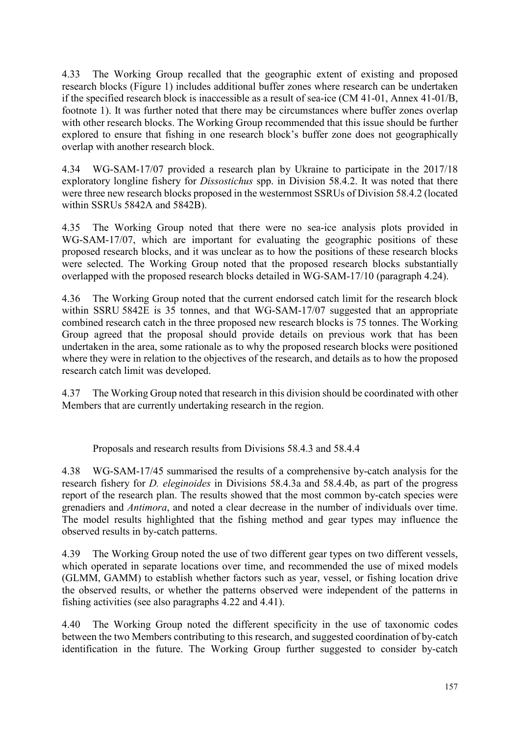4.33 The Working Group recalled that the geographic extent of existing and proposed research blocks (Figure 1) includes additional buffer zones where research can be undertaken if the specified research block is inaccessible as a result of sea-ice (CM 41-01, Annex 41-01/B, footnote 1). It was further noted that there may be circumstances where buffer zones overlap with other research blocks. The Working Group recommended that this issue should be further explored to ensure that fishing in one research block's buffer zone does not geographically overlap with another research block.

4.34 WG-SAM-17/07 provided a research plan by Ukraine to participate in the 2017/18 exploratory longline fishery for *Dissostichus* spp. in Division 58.4.2. It was noted that there were three new research blocks proposed in the westernmost SSRUs of Division 58.4.2 (located within SSRUs 5842A and 5842B).

4.35 The Working Group noted that there were no sea-ice analysis plots provided in WG-SAM-17/07, which are important for evaluating the geographic positions of these proposed research blocks, and it was unclear as to how the positions of these research blocks were selected. The Working Group noted that the proposed research blocks substantially overlapped with the proposed research blocks detailed in WG-SAM-17/10 (paragraph 4.24).

4.36 The Working Group noted that the current endorsed catch limit for the research block within SSRU 5842E is 35 tonnes, and that WG-SAM-17/07 suggested that an appropriate combined research catch in the three proposed new research blocks is 75 tonnes. The Working Group agreed that the proposal should provide details on previous work that has been undertaken in the area, some rationale as to why the proposed research blocks were positioned where they were in relation to the objectives of the research, and details as to how the proposed research catch limit was developed.

4.37 The Working Group noted that research in this division should be coordinated with other Members that are currently undertaking research in the region.

Proposals and research results from Divisions 58.4.3 and 58.4.4

4.38 WG-SAM-17/45 summarised the results of a comprehensive by-catch analysis for the research fishery for *D. eleginoides* in Divisions 58.4.3a and 58.4.4b, as part of the progress report of the research plan. The results showed that the most common by-catch species were grenadiers and *Antimora*, and noted a clear decrease in the number of individuals over time. The model results highlighted that the fishing method and gear types may influence the observed results in by-catch patterns.

4.39 The Working Group noted the use of two different gear types on two different vessels, which operated in separate locations over time, and recommended the use of mixed models (GLMM, GAMM) to establish whether factors such as year, vessel, or fishing location drive the observed results, or whether the patterns observed were independent of the patterns in fishing activities (see also paragraphs 4.22 and 4.41).

4.40 The Working Group noted the different specificity in the use of taxonomic codes between the two Members contributing to this research, and suggested coordination of by-catch identification in the future. The Working Group further suggested to consider by-catch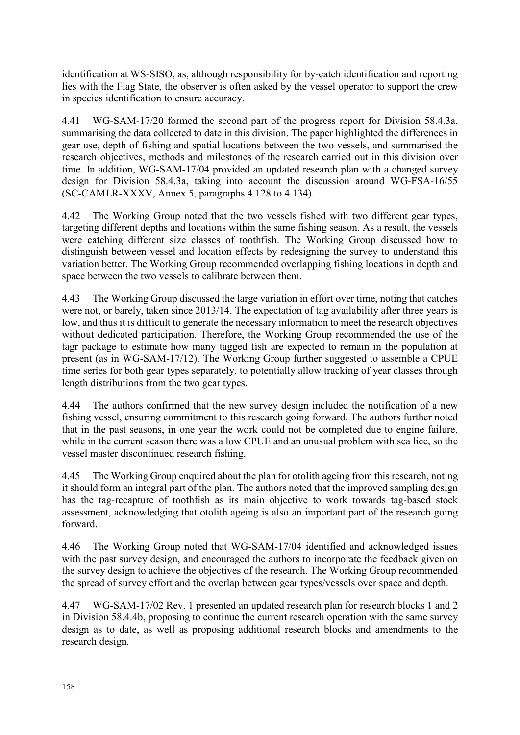identification at WS-SISO, as, although responsibility for by-catch identification and reporting lies with the Flag State, the observer is often asked by the vessel operator to support the crew in species identification to ensure accuracy.

4.41 WG-SAM-17/20 formed the second part of the progress report for Division 58.4.3a, summarising the data collected to date in this division. The paper highlighted the differences in gear use, depth of fishing and spatial locations between the two vessels, and summarised the research objectives, methods and milestones of the research carried out in this division over time. In addition, WG-SAM-17/04 provided an updated research plan with a changed survey design for Division 58.4.3a, taking into account the discussion around WG-FSA-16/55 (SC-CAMLR-XXXV, Annex 5, paragraphs 4.128 to 4.134).

4.42 The Working Group noted that the two vessels fished with two different gear types, targeting different depths and locations within the same fishing season. As a result, the vessels were catching different size classes of toothfish. The Working Group discussed how to distinguish between vessel and location effects by redesigning the survey to understand this variation better. The Working Group recommended overlapping fishing locations in depth and space between the two vessels to calibrate between them.

4.43 The Working Group discussed the large variation in effort over time, noting that catches were not, or barely, taken since 2013/14. The expectation of tag availability after three years is low, and thus it is difficult to generate the necessary information to meet the research objectives without dedicated participation. Therefore, the Working Group recommended the use of the tagr package to estimate how many tagged fish are expected to remain in the population at present (as in WG-SAM-17/12). The Working Group further suggested to assemble a CPUE time series for both gear types separately, to potentially allow tracking of year classes through length distributions from the two gear types.

4.44 The authors confirmed that the new survey design included the notification of a new fishing vessel, ensuring commitment to this research going forward. The authors further noted that in the past seasons, in one year the work could not be completed due to engine failure, while in the current season there was a low CPUE and an unusual problem with sea lice, so the vessel master discontinued research fishing.

4.45 The Working Group enquired about the plan for otolith ageing from this research, noting it should form an integral part of the plan. The authors noted that the improved sampling design has the tag-recapture of toothfish as its main objective to work towards tag-based stock assessment, acknowledging that otolith ageing is also an important part of the research going forward.

4.46 The Working Group noted that WG-SAM-17/04 identified and acknowledged issues with the past survey design, and encouraged the authors to incorporate the feedback given on the survey design to achieve the objectives of the research. The Working Group recommended the spread of survey effort and the overlap between gear types/vessels over space and depth.

4.47 WG-SAM-17/02 Rev. 1 presented an updated research plan for research blocks 1 and 2 in Division 58.4.4b, proposing to continue the current research operation with the same survey design as to date, as well as proposing additional research blocks and amendments to the research design.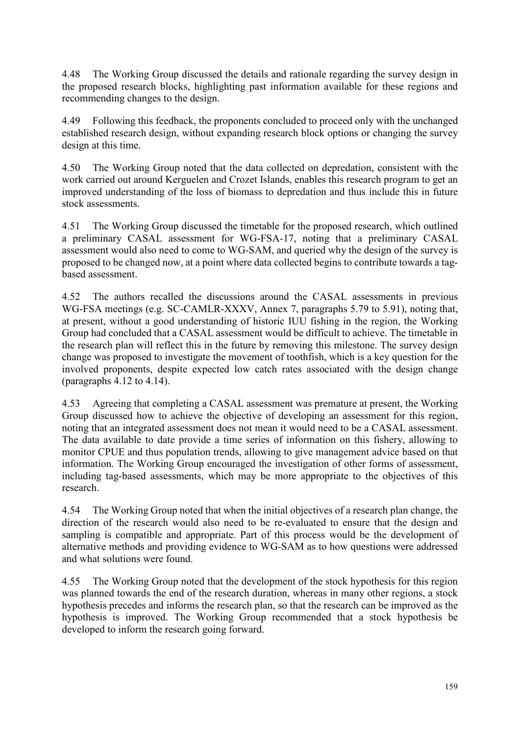4.48 The Working Group discussed the details and rationale regarding the survey design in the proposed research blocks, highlighting past information available for these regions and recommending changes to the design.

4.49 Following this feedback, the proponents concluded to proceed only with the unchanged established research design, without expanding research block options or changing the survey design at this time.

4.50 The Working Group noted that the data collected on depredation, consistent with the work carried out around Kerguelen and Crozet Islands, enables this research program to get an improved understanding of the loss of biomass to depredation and thus include this in future stock assessments.

4.51 The Working Group discussed the timetable for the proposed research, which outlined a preliminary CASAL assessment for WG-FSA-17, noting that a preliminary CASAL assessment would also need to come to WG-SAM, and queried why the design of the survey is proposed to be changed now, at a point where data collected begins to contribute towards a tagbased assessment.

4.52 The authors recalled the discussions around the CASAL assessments in previous WG-FSA meetings (e.g. SC-CAMLR-XXXV, Annex 7, paragraphs 5.79 to 5.91), noting that, at present, without a good understanding of historic IUU fishing in the region, the Working Group had concluded that a CASAL assessment would be difficult to achieve. The timetable in the research plan will reflect this in the future by removing this milestone. The survey design change was proposed to investigate the movement of toothfish, which is a key question for the involved proponents, despite expected low catch rates associated with the design change (paragraphs 4.12 to 4.14).

4.53 Agreeing that completing a CASAL assessment was premature at present, the Working Group discussed how to achieve the objective of developing an assessment for this region, noting that an integrated assessment does not mean it would need to be a CASAL assessment. The data available to date provide a time series of information on this fishery, allowing to monitor CPUE and thus population trends, allowing to give management advice based on that information. The Working Group encouraged the investigation of other forms of assessment, including tag-based assessments, which may be more appropriate to the objectives of this research.

4.54 The Working Group noted that when the initial objectives of a research plan change, the direction of the research would also need to be re-evaluated to ensure that the design and sampling is compatible and appropriate. Part of this process would be the development of alternative methods and providing evidence to WG-SAM as to how questions were addressed and what solutions were found.

4.55 The Working Group noted that the development of the stock hypothesis for this region was planned towards the end of the research duration, whereas in many other regions, a stock hypothesis precedes and informs the research plan, so that the research can be improved as the hypothesis is improved. The Working Group recommended that a stock hypothesis be developed to inform the research going forward.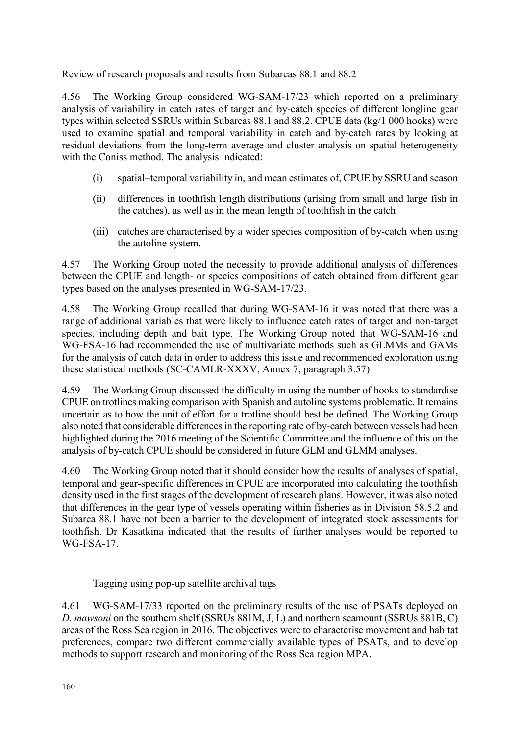Review of research proposals and results from Subareas 88.1 and 88.2

4.56 The Working Group considered WG-SAM-17/23 which reported on a preliminary analysis of variability in catch rates of target and by-catch species of different longline gear types within selected SSRUs within Subareas 88.1 and 88.2. CPUE data (kg/1 000 hooks) were used to examine spatial and temporal variability in catch and by-catch rates by looking at residual deviations from the long-term average and cluster analysis on spatial heterogeneity with the Coniss method. The analysis indicated:

- (i) spatial–temporal variability in, and mean estimates of, CPUE by SSRU and season
- (ii) differences in toothfish length distributions (arising from small and large fish in the catches), as well as in the mean length of toothfish in the catch
- (iii) catches are characterised by a wider species composition of by-catch when using the autoline system.

4.57 The Working Group noted the necessity to provide additional analysis of differences between the CPUE and length- or species compositions of catch obtained from different gear types based on the analyses presented in WG-SAM-17/23.

4.58 The Working Group recalled that during WG-SAM-16 it was noted that there was a range of additional variables that were likely to influence catch rates of target and non-target species, including depth and bait type. The Working Group noted that WG-SAM-16 and WG-FSA-16 had recommended the use of multivariate methods such as GLMMs and GAMs for the analysis of catch data in order to address this issue and recommended exploration using these statistical methods (SC-CAMLR-XXXV, Annex 7, paragraph 3.57).

4.59 The Working Group discussed the difficulty in using the number of hooks to standardise CPUE on trotlines making comparison with Spanish and autoline systems problematic. It remains uncertain as to how the unit of effort for a trotline should best be defined. The Working Group also noted that considerable differences in the reporting rate of by-catch between vessels had been highlighted during the 2016 meeting of the Scientific Committee and the influence of this on the analysis of by-catch CPUE should be considered in future GLM and GLMM analyses.

4.60 The Working Group noted that it should consider how the results of analyses of spatial, temporal and gear-specific differences in CPUE are incorporated into calculating the toothfish density used in the first stages of the development of research plans. However, it was also noted that differences in the gear type of vessels operating within fisheries as in Division 58.5.2 and Subarea 88.1 have not been a barrier to the development of integrated stock assessments for toothfish. Dr Kasatkina indicated that the results of further analyses would be reported to WG-FSA-17.

Tagging using pop-up satellite archival tags

4.61 WG-SAM-17/33 reported on the preliminary results of the use of PSATs deployed on *D. mawsoni* on the southern shelf (SSRUs 881M, J, L) and northern seamount (SSRUs 881B, C) areas of the Ross Sea region in 2016. The objectives were to characterise movement and habitat preferences, compare two different commercially available types of PSATs, and to develop methods to support research and monitoring of the Ross Sea region MPA.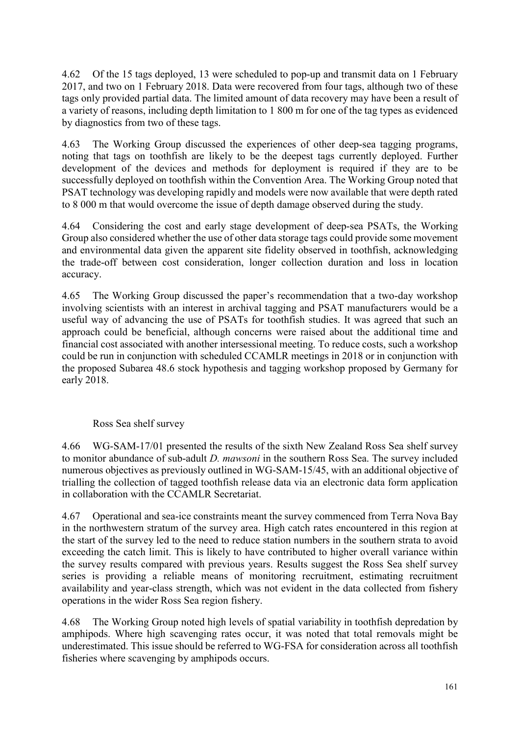4.62 Of the 15 tags deployed, 13 were scheduled to pop-up and transmit data on 1 February 2017, and two on 1 February 2018. Data were recovered from four tags, although two of these tags only provided partial data. The limited amount of data recovery may have been a result of a variety of reasons, including depth limitation to 1 800 m for one of the tag types as evidenced by diagnostics from two of these tags.

4.63 The Working Group discussed the experiences of other deep-sea tagging programs, noting that tags on toothfish are likely to be the deepest tags currently deployed. Further development of the devices and methods for deployment is required if they are to be successfully deployed on toothfish within the Convention Area. The Working Group noted that PSAT technology was developing rapidly and models were now available that were depth rated to 8 000 m that would overcome the issue of depth damage observed during the study.

4.64 Considering the cost and early stage development of deep-sea PSATs, the Working Group also considered whether the use of other data storage tags could provide some movement and environmental data given the apparent site fidelity observed in toothfish, acknowledging the trade-off between cost consideration, longer collection duration and loss in location accuracy.

4.65 The Working Group discussed the paper's recommendation that a two-day workshop involving scientists with an interest in archival tagging and PSAT manufacturers would be a useful way of advancing the use of PSATs for toothfish studies. It was agreed that such an approach could be beneficial, although concerns were raised about the additional time and financial cost associated with another intersessional meeting. To reduce costs, such a workshop could be run in conjunction with scheduled CCAMLR meetings in 2018 or in conjunction with the proposed Subarea 48.6 stock hypothesis and tagging workshop proposed by Germany for early 2018.

# Ross Sea shelf survey

4.66 WG-SAM-17/01 presented the results of the sixth New Zealand Ross Sea shelf survey to monitor abundance of sub-adult *D. mawsoni* in the southern Ross Sea. The survey included numerous objectives as previously outlined in WG-SAM-15/45, with an additional objective of trialling the collection of tagged toothfish release data via an electronic data form application in collaboration with the CCAMLR Secretariat.

4.67 Operational and sea-ice constraints meant the survey commenced from Terra Nova Bay in the northwestern stratum of the survey area. High catch rates encountered in this region at the start of the survey led to the need to reduce station numbers in the southern strata to avoid exceeding the catch limit. This is likely to have contributed to higher overall variance within the survey results compared with previous years. Results suggest the Ross Sea shelf survey series is providing a reliable means of monitoring recruitment, estimating recruitment availability and year-class strength, which was not evident in the data collected from fishery operations in the wider Ross Sea region fishery.

4.68 The Working Group noted high levels of spatial variability in toothfish depredation by amphipods. Where high scavenging rates occur, it was noted that total removals might be underestimated. This issue should be referred to WG-FSA for consideration across all toothfish fisheries where scavenging by amphipods occurs.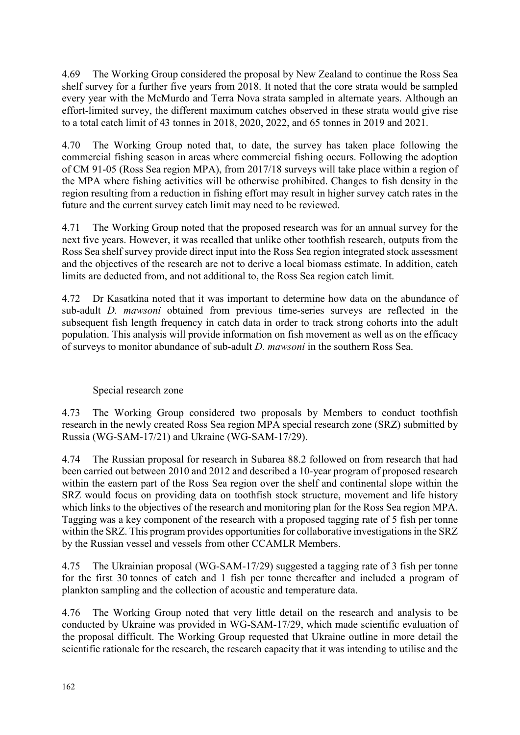4.69 The Working Group considered the proposal by New Zealand to continue the Ross Sea shelf survey for a further five years from 2018. It noted that the core strata would be sampled every year with the McMurdo and Terra Nova strata sampled in alternate years. Although an effort-limited survey, the different maximum catches observed in these strata would give rise to a total catch limit of 43 tonnes in 2018, 2020, 2022, and 65 tonnes in 2019 and 2021.

4.70 The Working Group noted that, to date, the survey has taken place following the commercial fishing season in areas where commercial fishing occurs. Following the adoption of CM 91-05 (Ross Sea region MPA), from 2017/18 surveys will take place within a region of the MPA where fishing activities will be otherwise prohibited. Changes to fish density in the region resulting from a reduction in fishing effort may result in higher survey catch rates in the future and the current survey catch limit may need to be reviewed.

4.71 The Working Group noted that the proposed research was for an annual survey for the next five years. However, it was recalled that unlike other toothfish research, outputs from the Ross Sea shelf survey provide direct input into the Ross Sea region integrated stock assessment and the objectives of the research are not to derive a local biomass estimate. In addition, catch limits are deducted from, and not additional to, the Ross Sea region catch limit.

4.72 Dr Kasatkina noted that it was important to determine how data on the abundance of sub-adult *D. mawsoni* obtained from previous time-series surveys are reflected in the subsequent fish length frequency in catch data in order to track strong cohorts into the adult population. This analysis will provide information on fish movement as well as on the efficacy of surveys to monitor abundance of sub-adult *D. mawsoni* in the southern Ross Sea.

# Special research zone

4.73 The Working Group considered two proposals by Members to conduct toothfish research in the newly created Ross Sea region MPA special research zone (SRZ) submitted by Russia (WG-SAM-17/21) and Ukraine (WG-SAM-17/29).

4.74 The Russian proposal for research in Subarea 88.2 followed on from research that had been carried out between 2010 and 2012 and described a 10-year program of proposed research within the eastern part of the Ross Sea region over the shelf and continental slope within the SRZ would focus on providing data on toothfish stock structure, movement and life history which links to the objectives of the research and monitoring plan for the Ross Sea region MPA. Tagging was a key component of the research with a proposed tagging rate of 5 fish per tonne within the SRZ. This program provides opportunities for collaborative investigations in the SRZ by the Russian vessel and vessels from other CCAMLR Members.

4.75 The Ukrainian proposal (WG-SAM-17/29) suggested a tagging rate of 3 fish per tonne for the first 30 tonnes of catch and 1 fish per tonne thereafter and included a program of plankton sampling and the collection of acoustic and temperature data.

4.76 The Working Group noted that very little detail on the research and analysis to be conducted by Ukraine was provided in WG-SAM-17/29, which made scientific evaluation of the proposal difficult. The Working Group requested that Ukraine outline in more detail the scientific rationale for the research, the research capacity that it was intending to utilise and the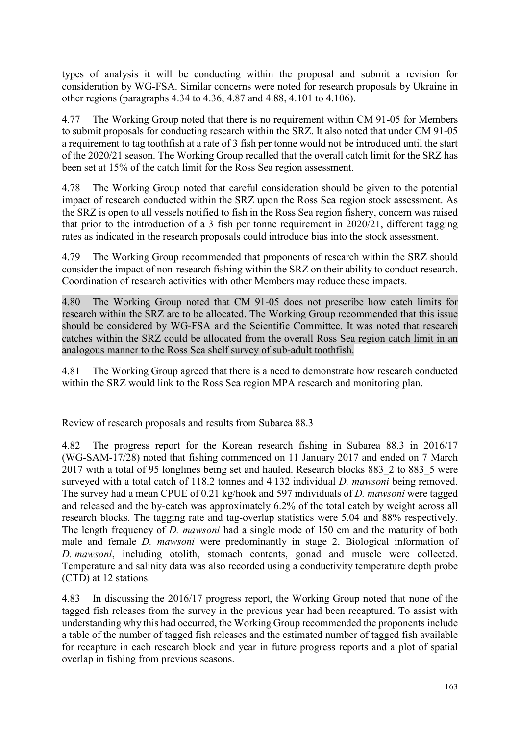types of analysis it will be conducting within the proposal and submit a revision for consideration by WG-FSA. Similar concerns were noted for research proposals by Ukraine in other regions (paragraphs 4.34 to 4.36, 4.87 and 4.88, 4.101 to 4.106).

4.77 The Working Group noted that there is no requirement within CM 91-05 for Members to submit proposals for conducting research within the SRZ. It also noted that under CM 91-05 a requirement to tag toothfish at a rate of 3 fish per tonne would not be introduced until the start of the 2020/21 season. The Working Group recalled that the overall catch limit for the SRZ has been set at 15% of the catch limit for the Ross Sea region assessment.

4.78 The Working Group noted that careful consideration should be given to the potential impact of research conducted within the SRZ upon the Ross Sea region stock assessment. As the SRZ is open to all vessels notified to fish in the Ross Sea region fishery, concern was raised that prior to the introduction of a 3 fish per tonne requirement in 2020/21, different tagging rates as indicated in the research proposals could introduce bias into the stock assessment.

4.79 The Working Group recommended that proponents of research within the SRZ should consider the impact of non-research fishing within the SRZ on their ability to conduct research. Coordination of research activities with other Members may reduce these impacts.

4.80 The Working Group noted that CM 91-05 does not prescribe how catch limits for research within the SRZ are to be allocated. The Working Group recommended that this issue should be considered by WG-FSA and the Scientific Committee. It was noted that research catches within the SRZ could be allocated from the overall Ross Sea region catch limit in an analogous manner to the Ross Sea shelf survey of sub-adult toothfish.

4.81 The Working Group agreed that there is a need to demonstrate how research conducted within the SRZ would link to the Ross Sea region MPA research and monitoring plan.

Review of research proposals and results from Subarea 88.3

4.82 The progress report for the Korean research fishing in Subarea 88.3 in 2016/17 (WG-SAM-17/28) noted that fishing commenced on 11 January 2017 and ended on 7 March 2017 with a total of 95 longlines being set and hauled. Research blocks 883\_2 to 883\_5 were surveyed with a total catch of 118.2 tonnes and 4 132 individual *D. mawsoni* being removed. The survey had a mean CPUE of 0.21 kg/hook and 597 individuals of *D. mawsoni* were tagged and released and the by-catch was approximately 6.2% of the total catch by weight across all research blocks. The tagging rate and tag-overlap statistics were 5.04 and 88% respectively. The length frequency of *D. mawsoni* had a single mode of 150 cm and the maturity of both male and female *D. mawsoni* were predominantly in stage 2. Biological information of *D. mawsoni*, including otolith, stomach contents, gonad and muscle were collected. Temperature and salinity data was also recorded using a conductivity temperature depth probe (CTD) at 12 stations.

4.83 In discussing the 2016/17 progress report, the Working Group noted that none of the tagged fish releases from the survey in the previous year had been recaptured. To assist with understanding why this had occurred, the Working Group recommended the proponents include a table of the number of tagged fish releases and the estimated number of tagged fish available for recapture in each research block and year in future progress reports and a plot of spatial overlap in fishing from previous seasons.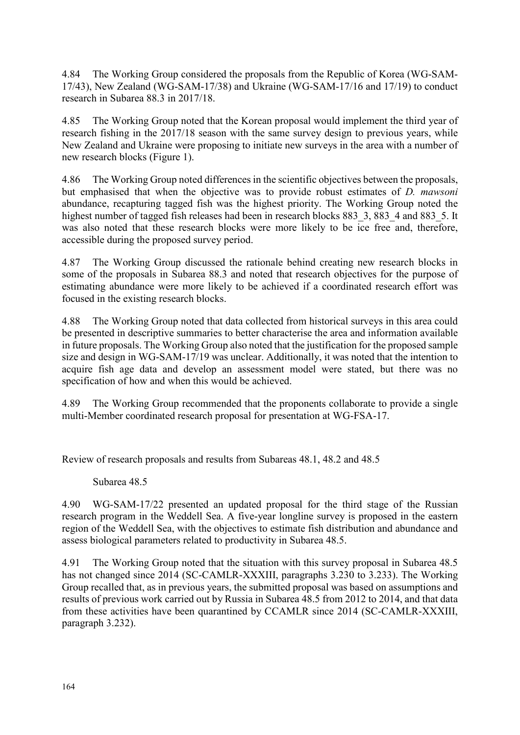4.84 The Working Group considered the proposals from the Republic of Korea (WG-SAM-17/43), New Zealand (WG-SAM-17/38) and Ukraine (WG-SAM-17/16 and 17/19) to conduct research in Subarea 88.3 in 2017/18.

4.85 The Working Group noted that the Korean proposal would implement the third year of research fishing in the 2017/18 season with the same survey design to previous years, while New Zealand and Ukraine were proposing to initiate new surveys in the area with a number of new research blocks (Figure 1).

4.86 The Working Group noted differences in the scientific objectives between the proposals, but emphasised that when the objective was to provide robust estimates of *D. mawsoni* abundance, recapturing tagged fish was the highest priority. The Working Group noted the highest number of tagged fish releases had been in research blocks 883 3, 883 4 and 883 5. It was also noted that these research blocks were more likely to be ice free and, therefore, accessible during the proposed survey period.

4.87 The Working Group discussed the rationale behind creating new research blocks in some of the proposals in Subarea 88.3 and noted that research objectives for the purpose of estimating abundance were more likely to be achieved if a coordinated research effort was focused in the existing research blocks.

4.88 The Working Group noted that data collected from historical surveys in this area could be presented in descriptive summaries to better characterise the area and information available in future proposals. The Working Group also noted that the justification for the proposed sample size and design in WG-SAM-17/19 was unclear. Additionally, it was noted that the intention to acquire fish age data and develop an assessment model were stated, but there was no specification of how and when this would be achieved.

4.89 The Working Group recommended that the proponents collaborate to provide a single multi-Member coordinated research proposal for presentation at WG-FSA-17.

Review of research proposals and results from Subareas 48.1, 48.2 and 48.5

Subarea 48.5

4.90 WG-SAM-17/22 presented an updated proposal for the third stage of the Russian research program in the Weddell Sea. A five-year longline survey is proposed in the eastern region of the Weddell Sea, with the objectives to estimate fish distribution and abundance and assess biological parameters related to productivity in Subarea 48.5.

4.91 The Working Group noted that the situation with this survey proposal in Subarea 48.5 has not changed since 2014 (SC-CAMLR-XXXIII, paragraphs 3.230 to 3.233). The Working Group recalled that, as in previous years, the submitted proposal was based on assumptions and results of previous work carried out by Russia in Subarea 48.5 from 2012 to 2014, and that data from these activities have been quarantined by CCAMLR since 2014 (SC-CAMLR-XXXIII, paragraph 3.232).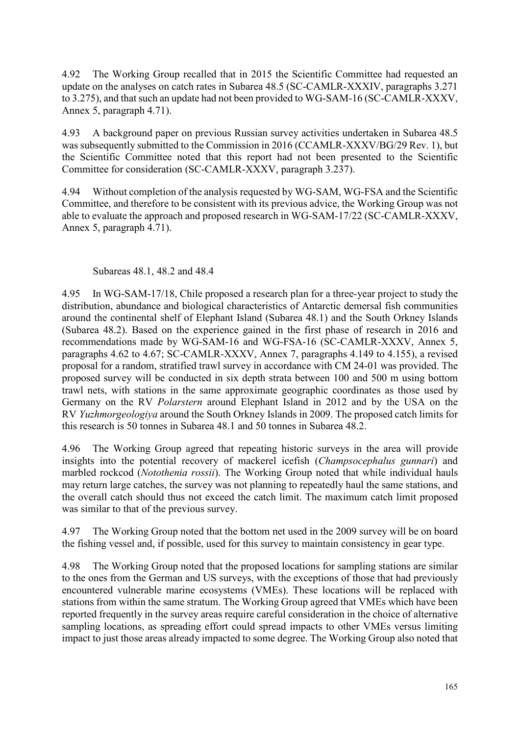4.92 The Working Group recalled that in 2015 the Scientific Committee had requested an update on the analyses on catch rates in Subarea 48.5 (SC-CAMLR-XXXIV, paragraphs 3.271 to 3.275), and that such an update had not been provided to WG-SAM-16 (SC-CAMLR-XXXV, Annex 5, paragraph 4.71).

4.93 A background paper on previous Russian survey activities undertaken in Subarea 48.5 was subsequently submitted to the Commission in 2016 (CCAMLR-XXXV/BG/29 Rev. 1), but the Scientific Committee noted that this report had not been presented to the Scientific Committee for consideration (SC-CAMLR-XXXV, paragraph 3.237).

4.94 Without completion of the analysis requested by WG-SAM, WG-FSA and the Scientific Committee, and therefore to be consistent with its previous advice, the Working Group was not able to evaluate the approach and proposed research in WG-SAM-17/22 (SC-CAMLR-XXXV, Annex 5, paragraph 4.71).

## Subareas 48.1, 48.2 and 48.4

4.95 In WG-SAM-17/18, Chile proposed a research plan for a three-year project to study the distribution, abundance and biological characteristics of Antarctic demersal fish communities around the continental shelf of Elephant Island (Subarea 48.1) and the South Orkney Islands (Subarea 48.2). Based on the experience gained in the first phase of research in 2016 and recommendations made by WG-SAM-16 and WG-FSA-16 (SC-CAMLR-XXXV, Annex 5, paragraphs 4.62 to 4.67; SC-CAMLR-XXXV, Annex 7, paragraphs 4.149 to 4.155), a revised proposal for a random, stratified trawl survey in accordance with CM 24-01 was provided. The proposed survey will be conducted in six depth strata between 100 and 500 m using bottom trawl nets, with stations in the same approximate geographic coordinates as those used by Germany on the RV *Polarstern* around Elephant Island in 2012 and by the USA on the RV *Yuzhmorgeologiya* around the South Orkney Islands in 2009. The proposed catch limits for this research is 50 tonnes in Subarea 48.1 and 50 tonnes in Subarea 48.2.

4.96 The Working Group agreed that repeating historic surveys in the area will provide insights into the potential recovery of mackerel icefish (*Champsocephalus gunnari*) and marbled rockcod (*Notothenia rossii*). The Working Group noted that while individual hauls may return large catches, the survey was not planning to repeatedly haul the same stations, and the overall catch should thus not exceed the catch limit. The maximum catch limit proposed was similar to that of the previous survey.

4.97 The Working Group noted that the bottom net used in the 2009 survey will be on board the fishing vessel and, if possible, used for this survey to maintain consistency in gear type.

4.98 The Working Group noted that the proposed locations for sampling stations are similar to the ones from the German and US surveys, with the exceptions of those that had previously encountered vulnerable marine ecosystems (VMEs). These locations will be replaced with stations from within the same stratum. The Working Group agreed that VMEs which have been reported frequently in the survey areas require careful consideration in the choice of alternative sampling locations, as spreading effort could spread impacts to other VMEs versus limiting impact to just those areas already impacted to some degree. The Working Group also noted that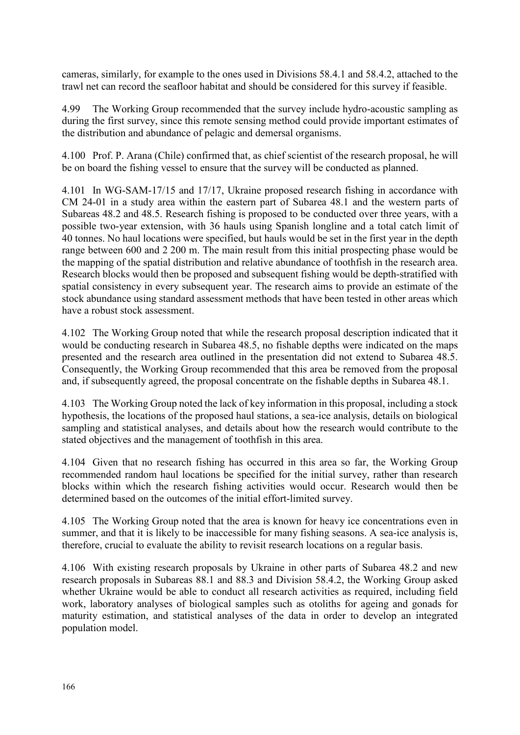cameras, similarly, for example to the ones used in Divisions 58.4.1 and 58.4.2, attached to the trawl net can record the seafloor habitat and should be considered for this survey if feasible.

4.99 The Working Group recommended that the survey include hydro-acoustic sampling as during the first survey, since this remote sensing method could provide important estimates of the distribution and abundance of pelagic and demersal organisms.

4.100 Prof. P. Arana (Chile) confirmed that, as chief scientist of the research proposal, he will be on board the fishing vessel to ensure that the survey will be conducted as planned.

4.101 In WG-SAM-17/15 and 17/17, Ukraine proposed research fishing in accordance with CM 24-01 in a study area within the eastern part of Subarea 48.1 and the western parts of Subareas 48.2 and 48.5. Research fishing is proposed to be conducted over three years, with a possible two-year extension, with 36 hauls using Spanish longline and a total catch limit of 40 tonnes. No haul locations were specified, but hauls would be set in the first year in the depth range between 600 and 2 200 m. The main result from this initial prospecting phase would be the mapping of the spatial distribution and relative abundance of toothfish in the research area. Research blocks would then be proposed and subsequent fishing would be depth-stratified with spatial consistency in every subsequent year. The research aims to provide an estimate of the stock abundance using standard assessment methods that have been tested in other areas which have a robust stock assessment.

4.102 The Working Group noted that while the research proposal description indicated that it would be conducting research in Subarea 48.5, no fishable depths were indicated on the maps presented and the research area outlined in the presentation did not extend to Subarea 48.5. Consequently, the Working Group recommended that this area be removed from the proposal and, if subsequently agreed, the proposal concentrate on the fishable depths in Subarea 48.1.

4.103 The Working Group noted the lack of key information in this proposal, including a stock hypothesis, the locations of the proposed haul stations, a sea-ice analysis, details on biological sampling and statistical analyses, and details about how the research would contribute to the stated objectives and the management of toothfish in this area.

4.104 Given that no research fishing has occurred in this area so far, the Working Group recommended random haul locations be specified for the initial survey, rather than research blocks within which the research fishing activities would occur. Research would then be determined based on the outcomes of the initial effort-limited survey.

4.105 The Working Group noted that the area is known for heavy ice concentrations even in summer, and that it is likely to be inaccessible for many fishing seasons. A sea-ice analysis is, therefore, crucial to evaluate the ability to revisit research locations on a regular basis.

4.106 With existing research proposals by Ukraine in other parts of Subarea 48.2 and new research proposals in Subareas 88.1 and 88.3 and Division 58.4.2, the Working Group asked whether Ukraine would be able to conduct all research activities as required, including field work, laboratory analyses of biological samples such as otoliths for ageing and gonads for maturity estimation, and statistical analyses of the data in order to develop an integrated population model.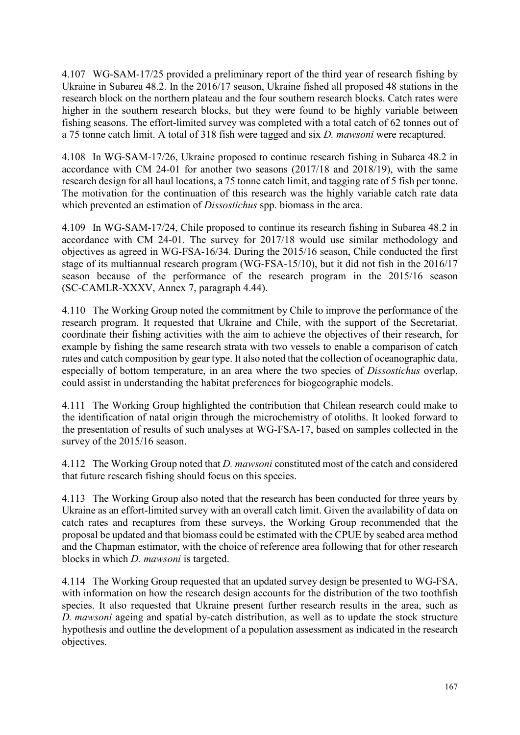4.107 WG-SAM-17/25 provided a preliminary report of the third year of research fishing by Ukraine in Subarea 48.2. In the 2016/17 season, Ukraine fished all proposed 48 stations in the research block on the northern plateau and the four southern research blocks. Catch rates were higher in the southern research blocks, but they were found to be highly variable between fishing seasons. The effort-limited survey was completed with a total catch of 62 tonnes out of a 75 tonne catch limit. A total of 318 fish were tagged and six *D. mawsoni* were recaptured.

4.108 In WG-SAM-17/26, Ukraine proposed to continue research fishing in Subarea 48.2 in accordance with CM 24-01 for another two seasons (2017/18 and 2018/19), with the same research design for all haul locations, a 75 tonne catch limit, and tagging rate of 5 fish per tonne. The motivation for the continuation of this research was the highly variable catch rate data which prevented an estimation of *Dissostichus* spp. biomass in the area.

4.109 In WG-SAM-17/24, Chile proposed to continue its research fishing in Subarea 48.2 in accordance with CM 24-01. The survey for 2017/18 would use similar methodology and objectives as agreed in WG-FSA-16/34. During the 2015/16 season, Chile conducted the first stage of its multiannual research program (WG-FSA-15/10), but it did not fish in the 2016/17 season because of the performance of the research program in the 2015/16 season (SC-CAMLR-XXXV, Annex 7, paragraph 4.44).

4.110 The Working Group noted the commitment by Chile to improve the performance of the research program. It requested that Ukraine and Chile, with the support of the Secretariat, coordinate their fishing activities with the aim to achieve the objectives of their research, for example by fishing the same research strata with two vessels to enable a comparison of catch rates and catch composition by gear type. It also noted that the collection of oceanographic data, especially of bottom temperature, in an area where the two species of *Dissostichus* overlap, could assist in understanding the habitat preferences for biogeographic models.

4.111 The Working Group highlighted the contribution that Chilean research could make to the identification of natal origin through the microchemistry of otoliths. It looked forward to the presentation of results of such analyses at WG-FSA-17, based on samples collected in the survey of the 2015/16 season.

4.112 The Working Group noted that *D. mawsoni* constituted most of the catch and considered that future research fishing should focus on this species.

4.113 The Working Group also noted that the research has been conducted for three years by Ukraine as an effort-limited survey with an overall catch limit. Given the availability of data on catch rates and recaptures from these surveys, the Working Group recommended that the proposal be updated and that biomass could be estimated with the CPUE by seabed area method and the Chapman estimator, with the choice of reference area following that for other research blocks in which *D. mawsoni* is targeted.

4.114 The Working Group requested that an updated survey design be presented to WG-FSA, with information on how the research design accounts for the distribution of the two toothfish species. It also requested that Ukraine present further research results in the area, such as *D. mawsoni* ageing and spatial by-catch distribution, as well as to update the stock structure hypothesis and outline the development of a population assessment as indicated in the research objectives.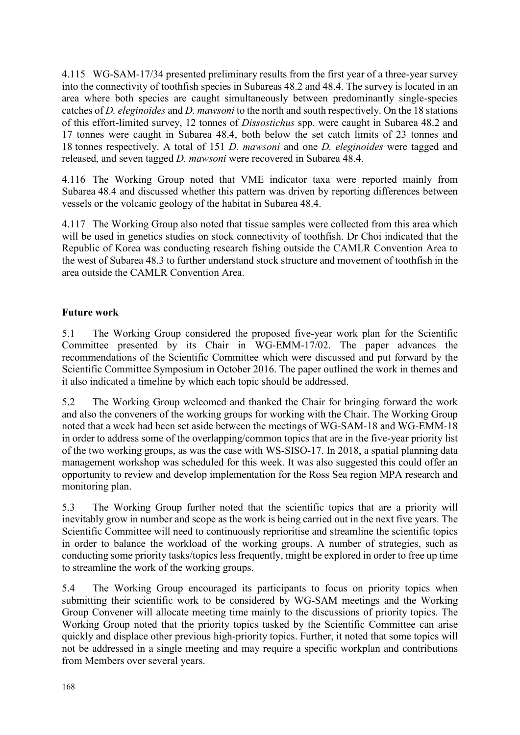<span id="page-27-0"></span>4.115 WG-SAM-17/34 presented preliminary results from the first year of a three-year survey into the connectivity of toothfish species in Subareas 48.2 and 48.4. The survey is located in an area where both species are caught simultaneously between predominantly single-species catches of *D. eleginoides* and *D. mawsoni* to the north and south respectively. On the 18 stations of this effort-limited survey, 12 tonnes of *Dissostichus* spp. were caught in Subarea 48.2 and 17 tonnes were caught in Subarea 48.4, both below the set catch limits of 23 tonnes and 18 tonnes respectively. A total of 151 *D. mawsoni* and one *D. eleginoides* were tagged and released, and seven tagged *D. mawsoni* were recovered in Subarea 48.4.

4.116 The Working Group noted that VME indicator taxa were reported mainly from Subarea 48.4 and discussed whether this pattern was driven by reporting differences between vessels or the volcanic geology of the habitat in Subarea 48.4.

4.117 The Working Group also noted that tissue samples were collected from this area which will be used in genetics studies on stock connectivity of toothfish. Dr Choi indicated that the Republic of Korea was conducting research fishing outside the CAMLR Convention Area to the west of Subarea 48.3 to further understand stock structure and movement of toothfish in the area outside the CAMLR Convention Area.

# **Future work**

5.1 The Working Group considered the proposed five-year work plan for the Scientific Committee presented by its Chair in WG-EMM-17/02. The paper advances the recommendations of the Scientific Committee which were discussed and put forward by the Scientific Committee Symposium in October 2016. The paper outlined the work in themes and it also indicated a timeline by which each topic should be addressed.

5.2 The Working Group welcomed and thanked the Chair for bringing forward the work and also the conveners of the working groups for working with the Chair. The Working Group noted that a week had been set aside between the meetings of WG-SAM-18 and WG-EMM-18 in order to address some of the overlapping/common topics that are in the five-year priority list of the two working groups, as was the case with WS-SISO-17. In 2018, a spatial planning data management workshop was scheduled for this week. It was also suggested this could offer an opportunity to review and develop implementation for the Ross Sea region MPA research and monitoring plan.

5.3 The Working Group further noted that the scientific topics that are a priority will inevitably grow in number and scope as the work is being carried out in the next five years. The Scientific Committee will need to continuously reprioritise and streamline the scientific topics in order to balance the workload of the working groups. A number of strategies, such as conducting some priority tasks/topics less frequently, might be explored in order to free up time to streamline the work of the working groups.

5.4 The Working Group encouraged its participants to focus on priority topics when submitting their scientific work to be considered by WG-SAM meetings and the Working Group Convener will allocate meeting time mainly to the discussions of priority topics. The Working Group noted that the priority topics tasked by the Scientific Committee can arise quickly and displace other previous high-priority topics. Further, it noted that some topics will not be addressed in a single meeting and may require a specific workplan and contributions from Members over several years.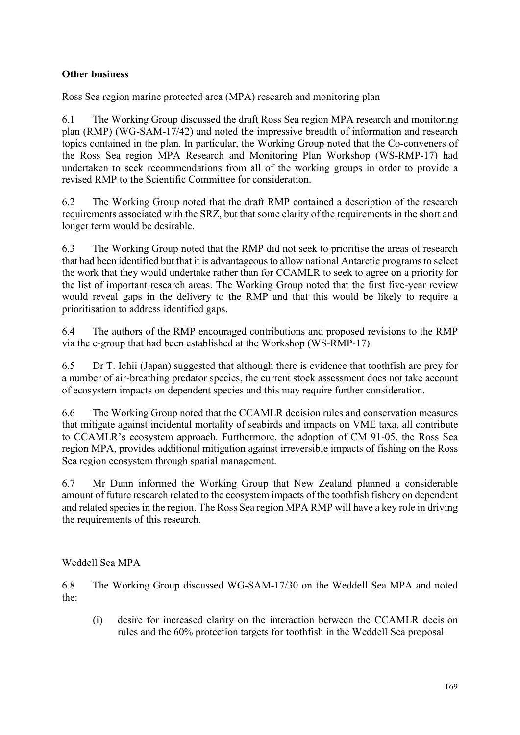# <span id="page-28-0"></span>**Other business**

Ross Sea region marine protected area (MPA) research and monitoring plan

6.1 The Working Group discussed the draft Ross Sea region MPA research and monitoring plan (RMP) (WG-SAM-17/42) and noted the impressive breadth of information and research topics contained in the plan. In particular, the Working Group noted that the Co-conveners of the Ross Sea region MPA Research and Monitoring Plan Workshop (WS-RMP-17) had undertaken to seek recommendations from all of the working groups in order to provide a revised RMP to the Scientific Committee for consideration.

6.2 The Working Group noted that the draft RMP contained a description of the research requirements associated with the SRZ, but that some clarity of the requirements in the short and longer term would be desirable.

6.3 The Working Group noted that the RMP did not seek to prioritise the areas of research that had been identified but that it is advantageous to allow national Antarctic programs to select the work that they would undertake rather than for CCAMLR to seek to agree on a priority for the list of important research areas. The Working Group noted that the first five-year review would reveal gaps in the delivery to the RMP and that this would be likely to require a prioritisation to address identified gaps.

6.4 The authors of the RMP encouraged contributions and proposed revisions to the RMP via the e-group that had been established at the Workshop (WS-RMP-17).

6.5 Dr T. Ichii (Japan) suggested that although there is evidence that toothfish are prey for a number of air-breathing predator species, the current stock assessment does not take account of ecosystem impacts on dependent species and this may require further consideration.

6.6 The Working Group noted that the CCAMLR decision rules and conservation measures that mitigate against incidental mortality of seabirds and impacts on VME taxa, all contribute to CCAMLR's ecosystem approach. Furthermore, the adoption of CM 91-05, the Ross Sea region MPA, provides additional mitigation against irreversible impacts of fishing on the Ross Sea region ecosystem through spatial management.

6.7 Mr Dunn informed the Working Group that New Zealand planned a considerable amount of future research related to the ecosystem impacts of the toothfish fishery on dependent and related species in the region. The Ross Sea region MPA RMP will have a key role in driving the requirements of this research.

Weddell Sea MPA

6.8 The Working Group discussed WG-SAM-17/30 on the Weddell Sea MPA and noted the:

(i) desire for increased clarity on the interaction between the CCAMLR decision rules and the 60% protection targets for toothfish in the Weddell Sea proposal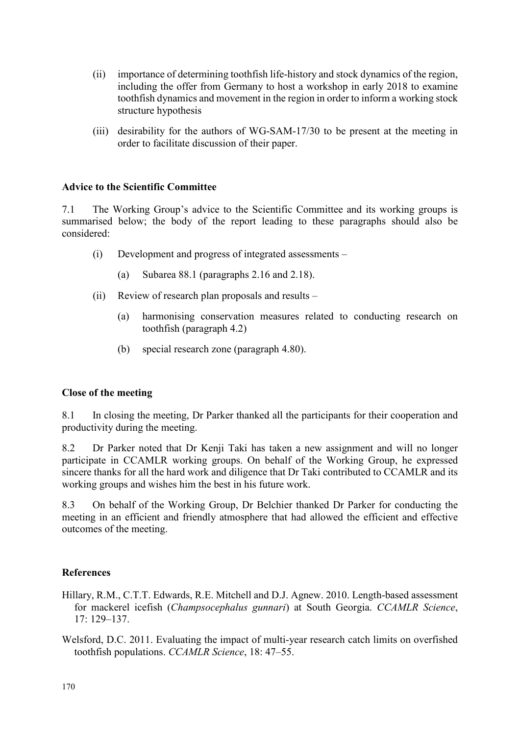- <span id="page-29-0"></span>(ii) importance of determining toothfish life-history and stock dynamics of the region, including the offer from Germany to host a workshop in early 2018 to examine toothfish dynamics and movement in the region in order to inform a working stock structure hypothesis
- (iii) desirability for the authors of WG-SAM-17/30 to be present at the meeting in order to facilitate discussion of their paper.

#### **Advice to the Scientific Committee**

7.1 The Working Group's advice to the Scientific Committee and its working groups is summarised below; the body of the report leading to these paragraphs should also be considered:

- (i) Development and progress of integrated assessments
	- (a) Subarea 88.1 (paragraphs 2.16 and 2.18).
- (ii) Review of research plan proposals and results
	- (a) harmonising conservation measures related to conducting research on toothfish (paragraph 4.2)
	- (b) special research zone (paragraph 4.80).

# **Close of the meeting**

8.1 In closing the meeting, Dr Parker thanked all the participants for their cooperation and productivity during the meeting.

8.2 Dr Parker noted that Dr Kenji Taki has taken a new assignment and will no longer participate in CCAMLR working groups. On behalf of the Working Group, he expressed sincere thanks for all the hard work and diligence that Dr Taki contributed to CCAMLR and its working groups and wishes him the best in his future work.

8.3 On behalf of the Working Group, Dr Belchier thanked Dr Parker for conducting the meeting in an efficient and friendly atmosphere that had allowed the efficient and effective outcomes of the meeting.

# **References**

- Hillary, R.M., C.T.T. Edwards, R.E. Mitchell and D.J. Agnew. 2010. Length-based assessment for mackerel icefish (*Champsocephalus gunnari*) at South Georgia. *CCAMLR Science*, 17: 129–137.
- Welsford, D.C. 2011. Evaluating the impact of multi-year research catch limits on overfished toothfish populations. *CCAMLR Science*, 18: 47–55.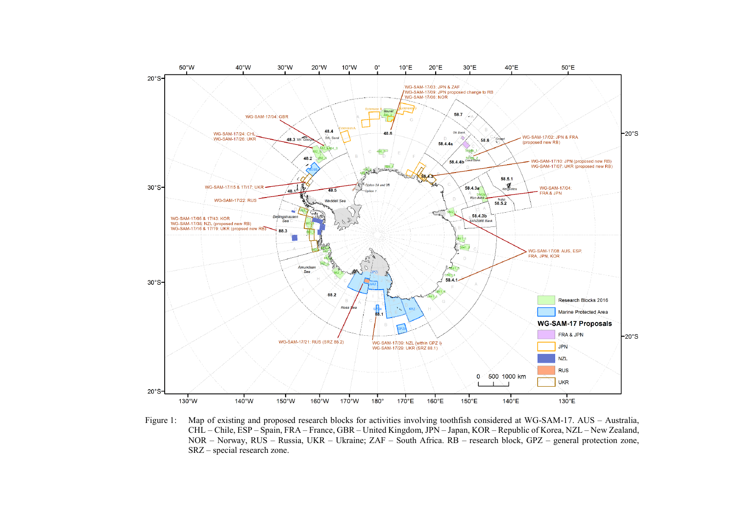<span id="page-30-0"></span>

Figure 1: Map of existing and proposed research blocks for activities involving toothfish considered at WG-SAM-17. AUS – Australia, CHL – Chile, ESP – Spain, FRA – France, GBR – United Kingdom, JPN – Japan, KOR – Republic of Korea, NZL – New Zealand, NOR – Norway, RUS – Russia, UKR – Ukraine; ZAF – South Africa. RB – research block, GPZ – general protection zone, SRZ – special research zone.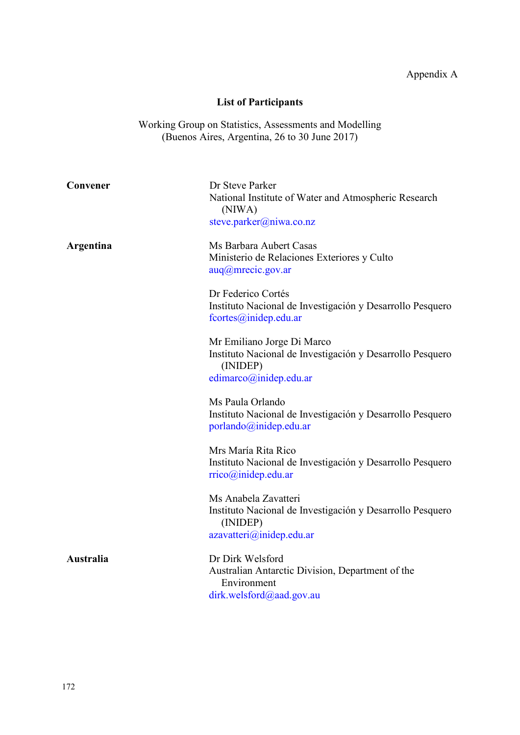# **List of Participants**

<span id="page-31-0"></span>Working Group on Statistics, Assessments and Modelling (Buenos Aires, Argentina, 26 to 30 June 2017)

| Convener         | Dr Steve Parker<br>National Institute of Water and Atmospheric Research<br>(NIWA)<br>steve.parker@niwa.co.nz                  |
|------------------|-------------------------------------------------------------------------------------------------------------------------------|
| Argentina        | Ms Barbara Aubert Casas<br>Ministerio de Relaciones Exteriores y Culto<br>aug@mrecic.gov.ar                                   |
|                  | Dr Federico Cortés<br>Instituto Nacional de Investigación y Desarrollo Pesquero<br>fcortes@inidep.edu.ar                      |
|                  | Mr Emiliano Jorge Di Marco<br>Instituto Nacional de Investigación y Desarrollo Pesquero<br>(INIDEP)<br>edimarco@inidep.edu.ar |
|                  | Ms Paula Orlando<br>Instituto Nacional de Investigación y Desarrollo Pesquero<br>porlando@inidep.edu.ar                       |
|                  | Mrs María Rita Rico<br>Instituto Nacional de Investigación y Desarrollo Pesquero<br>rrico@inidep.edu.ar                       |
|                  | Ms Anabela Zavatteri<br>Instituto Nacional de Investigación y Desarrollo Pesquero<br>(INIDEP)<br>azavatteri@inidep.edu.ar     |
| <b>Australia</b> | Dr Dirk Welsford<br>Australian Antarctic Division, Department of the<br>Environment<br>dirk.welsford@aad.gov.au               |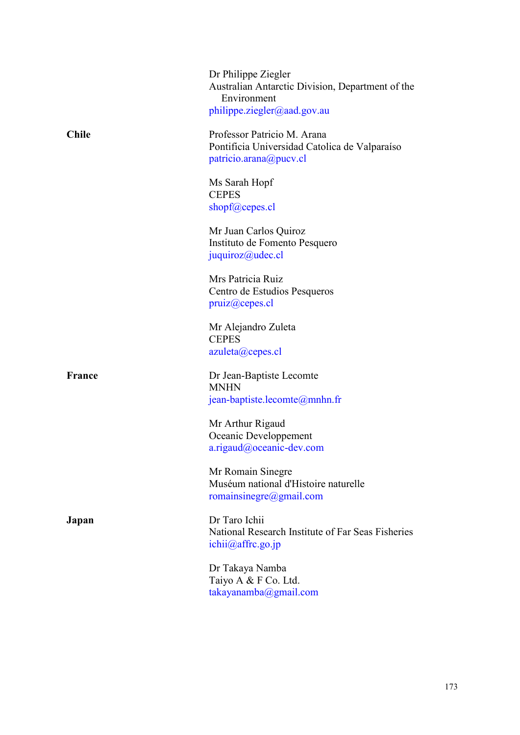|               | Dr Philippe Ziegler<br>Australian Antarctic Division, Department of the<br>Environment<br>philippe.ziegler@aad.gov.au |
|---------------|-----------------------------------------------------------------------------------------------------------------------|
| Chile         | Professor Patricio M. Arana<br>Pontificia Universidad Catolica de Valparaíso<br>patricio.arana@pucv.cl                |
|               | Ms Sarah Hopf<br><b>CEPES</b><br>shopf@cepes.cl                                                                       |
|               | Mr Juan Carlos Quiroz<br>Instituto de Fomento Pesquero<br>juquiroz@udec.cl                                            |
|               | Mrs Patricia Ruiz<br>Centro de Estudios Pesqueros<br>pruiz@cepes.c1                                                   |
|               | Mr Alejandro Zuleta<br><b>CEPES</b><br>azuleta@cepes.cl                                                               |
| <b>France</b> | Dr Jean-Baptiste Lecomte<br><b>MNHN</b><br>jean-baptiste.lecomte $@$ mnhn.fr                                          |
|               | Mr Arthur Rigaud<br>Oceanic Developpement<br>a.rigaud@oceanic-dev.com                                                 |
|               | Mr Romain Sinegre<br>Muséum national d'Histoire naturelle<br>romainsinegre@gmail.com                                  |
| Japan         | Dr Taro Ichii<br>National Research Institute of Far Seas Fisheries<br>ichii@affrc.gov.jp                              |
|               | Dr Takaya Namba<br>Taiyo A & F Co. Ltd.                                                                               |

[takayanamba@gmail.com](mailto:takayanamba@gmail.com)

173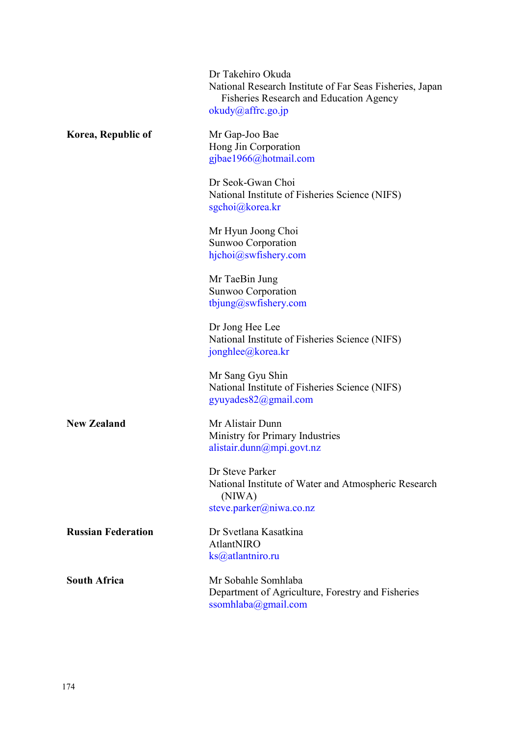|                           | Dr Takehiro Okuda<br>National Research Institute of Far Seas Fisheries, Japan<br><b>Fisheries Research and Education Agency</b><br>okudy@affrc.gov.jp |
|---------------------------|-------------------------------------------------------------------------------------------------------------------------------------------------------|
| Korea, Republic of        | Mr Gap-Joo Bae<br>Hong Jin Corporation<br>gjbae1966@hotmail.com                                                                                       |
|                           | Dr Seok-Gwan Choi<br>National Institute of Fisheries Science (NIFS)<br>sgchoi@korea.kr                                                                |
|                           | Mr Hyun Joong Choi<br>Sunwoo Corporation<br>hjchoi@swfishery.com                                                                                      |
|                           | Mr TaeBin Jung<br>Sunwoo Corporation<br>tbjung@swfishery.com                                                                                          |
|                           | Dr Jong Hee Lee<br>National Institute of Fisheries Science (NIFS)<br>jonghlee@korea.kr                                                                |
|                           | Mr Sang Gyu Shin<br>National Institute of Fisheries Science (NIFS)<br>gyuyades82@gmail.com                                                            |
| <b>New Zealand</b>        | Mr Alistair Dunn<br>Ministry for Primary Industries<br>alistair.dunn $(\omega)$ mpi.govt.nz                                                           |
|                           | Dr Steve Parker<br>National Institute of Water and Atmospheric Research<br>(NIWA)<br>steve.parker@niwa.co.nz                                          |
| <b>Russian Federation</b> | Dr Svetlana Kasatkina<br>AtlantNIRO<br>ks@atlantniro.ru                                                                                               |
| <b>South Africa</b>       | Mr Sobahle Somhlaba<br>Department of Agriculture, Forestry and Fisheries<br>ssomhlaba@gmail.com                                                       |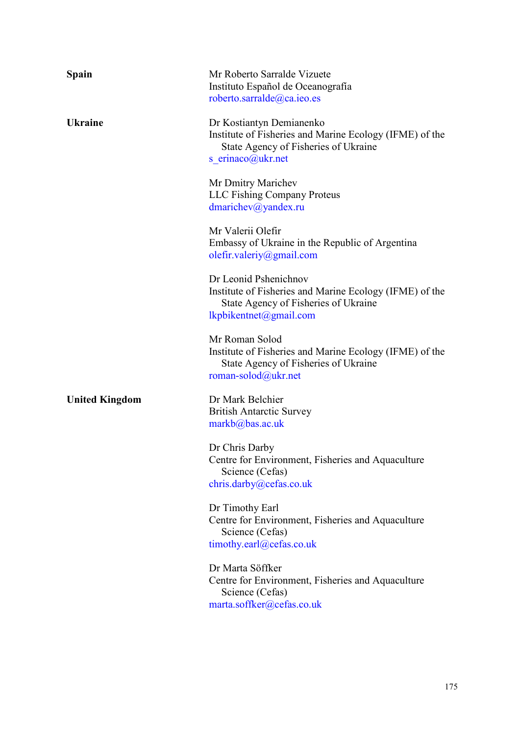| <b>Spain</b>          | Mr Roberto Sarralde Vizuete<br>Instituto Español de Oceanografía<br>roberto.sarralde@ca.ieo.es                                                     |
|-----------------------|----------------------------------------------------------------------------------------------------------------------------------------------------|
| <b>Ukraine</b>        | Dr Kostiantyn Demianenko<br>Institute of Fisheries and Marine Ecology (IFME) of the<br>State Agency of Fisheries of Ukraine<br>s_erinaco@ukr.net   |
|                       | Mr Dmitry Marichev<br><b>LLC Fishing Company Proteus</b><br>dmarichev@yandex.ru                                                                    |
|                       | Mr Valerii Olefir<br>Embassy of Ukraine in the Republic of Argentina<br>olefir.valeriy@gmail.com                                                   |
|                       | Dr Leonid Pshenichnov<br>Institute of Fisheries and Marine Ecology (IFME) of the<br>State Agency of Fisheries of Ukraine<br>lkpbikentnet@gmail.com |
|                       | Mr Roman Solod<br>Institute of Fisheries and Marine Ecology (IFME) of the<br>State Agency of Fisheries of Ukraine<br>roman-solod@ukr.net           |
| <b>United Kingdom</b> | Dr Mark Belchier<br><b>British Antarctic Survey</b><br>$markb(a)$ bas.ac.uk                                                                        |
|                       | Dr Chris Darby<br>Centre for Environment, Fisheries and Aquaculture<br>Science (Cefas)<br>chris.darby@cefas.co.uk                                  |
|                       | Dr Timothy Earl<br>Centre for Environment, Fisheries and Aquaculture<br>Science (Cefas)<br>timothy.earl@cefas.co.uk                                |
|                       | Dr Marta Söffker<br>Centre for Environment, Fisheries and Aquaculture<br>Science (Cefas)<br>marta.soffker@cefas.co.uk                              |
|                       |                                                                                                                                                    |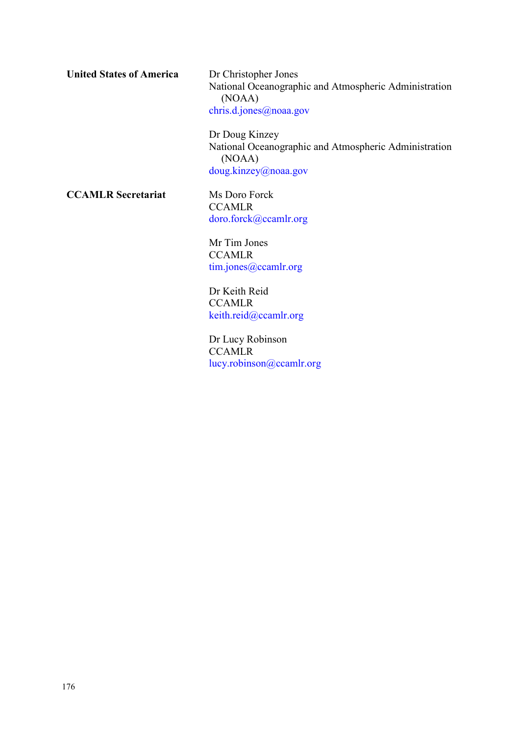**United States of America** Dr Christopher Jones

National Oceanographic and Atmospheric Administration (NOAA) [chris.d.jones@noaa.gov](mailto:chris.d.jones@noaa.gov)

Dr Doug Kinzey National Oceanographic and Atmospheric Administration (NOAA) [doug.kinzey@noaa.gov](mailto:doug.kinzey@noaa.gov)

**CCAMLR Secretariat** Ms Doro Forck

**CCAMLR** [doro.forck@ccamlr.org](mailto:doro.forck@ccamlr.org)

Mr Tim Jones **CCAMLR** [tim.jones@ccamlr.org](mailto:tim.jones@ccamlr.org)

Dr Keith Reid **CCAMLR** [keith.reid@ccamlr.org](mailto:keith.reid@ccamlr.org)

Dr Lucy Robinson **CCAMLR** [lucy.robinson@ccamlr.org](mailto:lucy.robinson@ccamlr.org)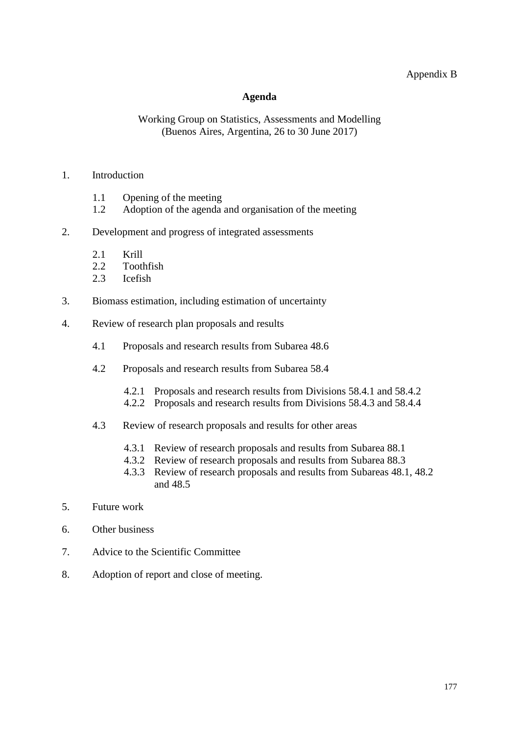## Appendix B

#### **Agenda**

#### <span id="page-36-0"></span>Working Group on Statistics, Assessments and Modelling (Buenos Aires, Argentina, 26 to 30 June 2017)

#### 1. Introduction

- 1.1 Opening of the meeting<br>1.2 Adoption of the agenda
- Adoption of the agenda and organisation of the meeting
- 2. Development and progress of integrated assessments
	- 2.1 Krill<br>2.2 Tooth
	- **Toothfish**
	- 2.3 Icefish
- 3. Biomass estimation, including estimation of uncertainty
- 4. Review of research plan proposals and results
	- 4.1 Proposals and research results from Subarea 48.6
	- 4.2 Proposals and research results from Subarea 58.4
		- 4.2.1 Proposals and research results from Divisions 58.4.1 and 58.4.2
		- 4.2.2 Proposals and research results from Divisions 58.4.3 and 58.4.4
	- 4.3 Review of research proposals and results for other areas
		- 4.3.1 Review of research proposals and results from Subarea 88.1
		- 4.3.2 Review of research proposals and results from Subarea 88.3
		- 4.3.3 Review of research proposals and results from Subareas 48.1, 48.2 and 48.5
- 5. Future work
- 6. Other business
- 7. Advice to the Scientific Committee
- 8. Adoption of report and close of meeting.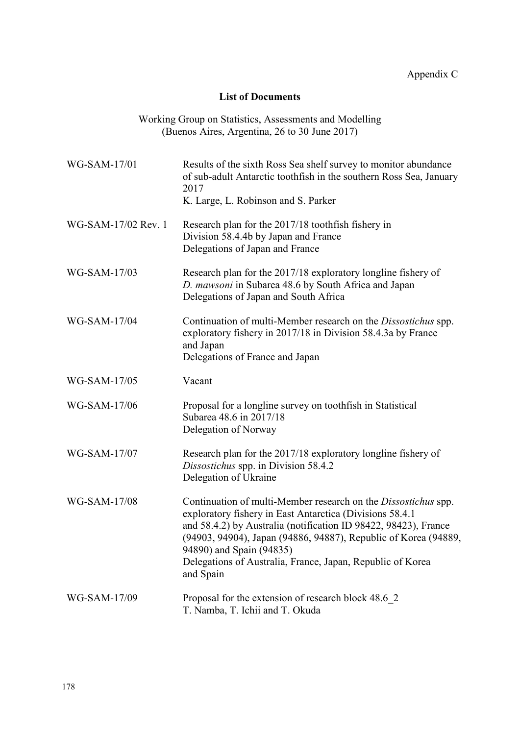## **List of Documents**

<span id="page-37-0"></span>

| WG-SAM-17/01        | Results of the sixth Ross Sea shelf survey to monitor abundance<br>of sub-adult Antarctic toothfish in the southern Ross Sea, January<br>2017<br>K. Large, L. Robinson and S. Parker                                                                                                                                                                                    |
|---------------------|-------------------------------------------------------------------------------------------------------------------------------------------------------------------------------------------------------------------------------------------------------------------------------------------------------------------------------------------------------------------------|
| WG-SAM-17/02 Rev. 1 | Research plan for the 2017/18 toothfish fishery in<br>Division 58.4.4b by Japan and France<br>Delegations of Japan and France                                                                                                                                                                                                                                           |
| WG-SAM-17/03        | Research plan for the 2017/18 exploratory longline fishery of<br>D. mawsoni in Subarea 48.6 by South Africa and Japan<br>Delegations of Japan and South Africa                                                                                                                                                                                                          |
| WG-SAM-17/04        | Continuation of multi-Member research on the Dissostichus spp.<br>exploratory fishery in 2017/18 in Division 58.4.3a by France<br>and Japan<br>Delegations of France and Japan                                                                                                                                                                                          |
| WG-SAM-17/05        | Vacant                                                                                                                                                                                                                                                                                                                                                                  |
| WG-SAM-17/06        | Proposal for a longline survey on toothfish in Statistical<br>Subarea 48.6 in 2017/18<br>Delegation of Norway                                                                                                                                                                                                                                                           |
| WG-SAM-17/07        | Research plan for the 2017/18 exploratory longline fishery of<br>Dissostichus spp. in Division 58.4.2<br>Delegation of Ukraine                                                                                                                                                                                                                                          |
| WG-SAM-17/08        | Continuation of multi-Member research on the Dissostichus spp.<br>exploratory fishery in East Antarctica (Divisions 58.4.1<br>and 58.4.2) by Australia (notification ID 98422, 98423), France<br>(94903, 94904), Japan (94886, 94887), Republic of Korea (94889,<br>94890) and Spain (94835)<br>Delegations of Australia, France, Japan, Republic of Korea<br>and Spain |
| WG-SAM-17/09        | Proposal for the extension of research block 48.6 2<br>T. Namba, T. Ichii and T. Okuda                                                                                                                                                                                                                                                                                  |

Working Group on Statistics, Assessments and Modelling (Buenos Aires, Argentina, 26 to 30 June 2017)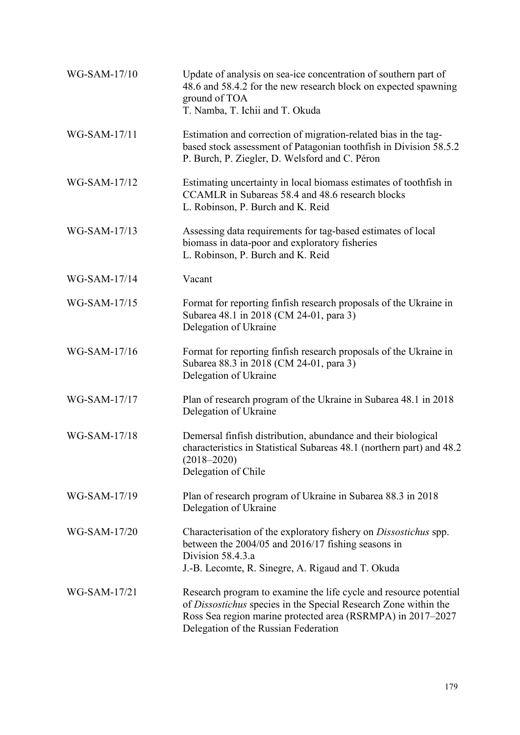| WG-SAM-17/10 | Update of analysis on sea-ice concentration of southern part of<br>48.6 and 58.4.2 for the new research block on expected spawning<br>ground of TOA<br>T. Namba, T. Ichii and T. Okuda                                                      |
|--------------|---------------------------------------------------------------------------------------------------------------------------------------------------------------------------------------------------------------------------------------------|
| WG-SAM-17/11 | Estimation and correction of migration-related bias in the tag-<br>based stock assessment of Patagonian toothfish in Division 58.5.2<br>P. Burch, P. Ziegler, D. Welsford and C. Péron                                                      |
| WG-SAM-17/12 | Estimating uncertainty in local biomass estimates of toothfish in<br>CCAMLR in Subareas 58.4 and 48.6 research blocks<br>L. Robinson, P. Burch and K. Reid                                                                                  |
| WG-SAM-17/13 | Assessing data requirements for tag-based estimates of local<br>biomass in data-poor and exploratory fisheries<br>L. Robinson, P. Burch and K. Reid                                                                                         |
| WG-SAM-17/14 | Vacant                                                                                                                                                                                                                                      |
| WG-SAM-17/15 | Format for reporting finfish research proposals of the Ukraine in<br>Subarea 48.1 in 2018 (CM 24-01, para 3)<br>Delegation of Ukraine                                                                                                       |
| WG-SAM-17/16 | Format for reporting finfish research proposals of the Ukraine in<br>Subarea 88.3 in 2018 (CM 24-01, para 3)<br>Delegation of Ukraine                                                                                                       |
| WG-SAM-17/17 | Plan of research program of the Ukraine in Subarea 48.1 in 2018<br>Delegation of Ukraine                                                                                                                                                    |
| WG-SAM-17/18 | Demersal finfish distribution, abundance and their biological<br>characteristics in Statistical Subareas 48.1 (northern part) and 48.2<br>$(2018 - 2020)$<br>Delegation of Chile                                                            |
| WG-SAM-17/19 | Plan of research program of Ukraine in Subarea 88.3 in 2018<br>Delegation of Ukraine                                                                                                                                                        |
| WG-SAM-17/20 | Characterisation of the exploratory fishery on <i>Dissostichus</i> spp.<br>between the 2004/05 and 2016/17 fishing seasons in<br>Division 58.4.3.a<br>J.-B. Lecomte, R. Sinegre, A. Rigaud and T. Okuda                                     |
| WG-SAM-17/21 | Research program to examine the life cycle and resource potential<br>of Dissostichus species in the Special Research Zone within the<br>Ross Sea region marine protected area (RSRMPA) in 2017-2027<br>Delegation of the Russian Federation |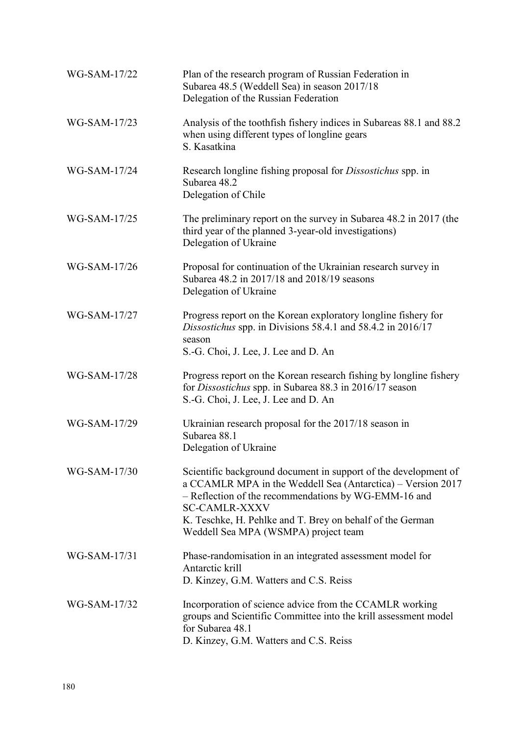| WG-SAM-17/22 | Plan of the research program of Russian Federation in<br>Subarea 48.5 (Weddell Sea) in season 2017/18<br>Delegation of the Russian Federation                                                                                                                                                                       |
|--------------|---------------------------------------------------------------------------------------------------------------------------------------------------------------------------------------------------------------------------------------------------------------------------------------------------------------------|
| WG-SAM-17/23 | Analysis of the tooth fishery indices in Subareas 88.1 and 88.2<br>when using different types of longline gears<br>S. Kasatkina                                                                                                                                                                                     |
| WG-SAM-17/24 | Research longline fishing proposal for <i>Dissostichus</i> spp. in<br>Subarea 48.2<br>Delegation of Chile                                                                                                                                                                                                           |
| WG-SAM-17/25 | The preliminary report on the survey in Subarea 48.2 in 2017 (the<br>third year of the planned 3-year-old investigations)<br>Delegation of Ukraine                                                                                                                                                                  |
| WG-SAM-17/26 | Proposal for continuation of the Ukrainian research survey in<br>Subarea 48.2 in 2017/18 and 2018/19 seasons<br>Delegation of Ukraine                                                                                                                                                                               |
| WG-SAM-17/27 | Progress report on the Korean exploratory longline fishery for<br>Dissostichus spp. in Divisions 58.4.1 and 58.4.2 in 2016/17<br>season<br>S.-G. Choi, J. Lee, J. Lee and D. An                                                                                                                                     |
| WG-SAM-17/28 | Progress report on the Korean research fishing by longline fishery<br>for Dissostichus spp. in Subarea 88.3 in 2016/17 season<br>S.-G. Choi, J. Lee, J. Lee and D. An                                                                                                                                               |
| WG-SAM-17/29 | Ukrainian research proposal for the 2017/18 season in<br>Subarea 88.1<br>Delegation of Ukraine                                                                                                                                                                                                                      |
| WG-SAM-17/30 | Scientific background document in support of the development of<br>a CCAMLR MPA in the Weddell Sea (Antarctica) – Version 2017<br>- Reflection of the recommendations by WG-EMM-16 and<br><b>SC-CAMLR-XXXV</b><br>K. Teschke, H. Pehlke and T. Brey on behalf of the German<br>Weddell Sea MPA (WSMPA) project team |
| WG-SAM-17/31 | Phase-randomisation in an integrated assessment model for<br>Antarctic krill<br>D. Kinzey, G.M. Watters and C.S. Reiss                                                                                                                                                                                              |
| WG-SAM-17/32 | Incorporation of science advice from the CCAMLR working<br>groups and Scientific Committee into the krill assessment model<br>for Subarea 48.1<br>D. Kinzey, G.M. Watters and C.S. Reiss                                                                                                                            |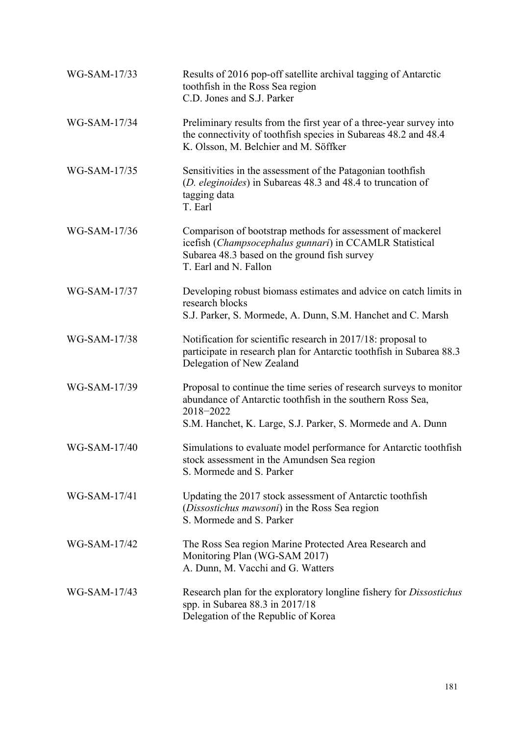| WG-SAM-17/33 | Results of 2016 pop-off satellite archival tagging of Antarctic<br>toothfish in the Ross Sea region<br>C.D. Jones and S.J. Parker                                                                             |
|--------------|---------------------------------------------------------------------------------------------------------------------------------------------------------------------------------------------------------------|
| WG-SAM-17/34 | Preliminary results from the first year of a three-year survey into<br>the connectivity of toothfish species in Subareas 48.2 and 48.4<br>K. Olsson, M. Belchier and M. Söffker                               |
| WG-SAM-17/35 | Sensitivities in the assessment of the Patagonian toothfish<br>(D. eleginoides) in Subareas 48.3 and 48.4 to truncation of<br>tagging data<br>T. Earl                                                         |
| WG-SAM-17/36 | Comparison of bootstrap methods for assessment of mackerel<br>icefish (Champsocephalus gunnari) in CCAMLR Statistical<br>Subarea 48.3 based on the ground fish survey<br>T. Earl and N. Fallon                |
| WG-SAM-17/37 | Developing robust biomass estimates and advice on catch limits in<br>research blocks<br>S.J. Parker, S. Mormede, A. Dunn, S.M. Hanchet and C. Marsh                                                           |
| WG-SAM-17/38 | Notification for scientific research in 2017/18: proposal to<br>participate in research plan for Antarctic toothfish in Subarea 88.3<br>Delegation of New Zealand                                             |
| WG-SAM-17/39 | Proposal to continue the time series of research surveys to monitor<br>abundance of Antarctic toothfish in the southern Ross Sea,<br>2018-2022<br>S.M. Hanchet, K. Large, S.J. Parker, S. Mormede and A. Dunn |
| WG-SAM-17/40 | Simulations to evaluate model performance for Antarctic toothfish<br>stock assessment in the Amundsen Sea region<br>S. Mormede and S. Parker                                                                  |
| WG-SAM-17/41 | Updating the 2017 stock assessment of Antarctic toothfish<br>(Dissostichus mawsoni) in the Ross Sea region<br>S. Mormede and S. Parker                                                                        |
| WG-SAM-17/42 | The Ross Sea region Marine Protected Area Research and<br>Monitoring Plan (WG-SAM 2017)<br>A. Dunn, M. Vacchi and G. Watters                                                                                  |
| WG-SAM-17/43 | Research plan for the exploratory longline fishery for <i>Dissostichus</i><br>spp. in Subarea 88.3 in 2017/18<br>Delegation of the Republic of Korea                                                          |